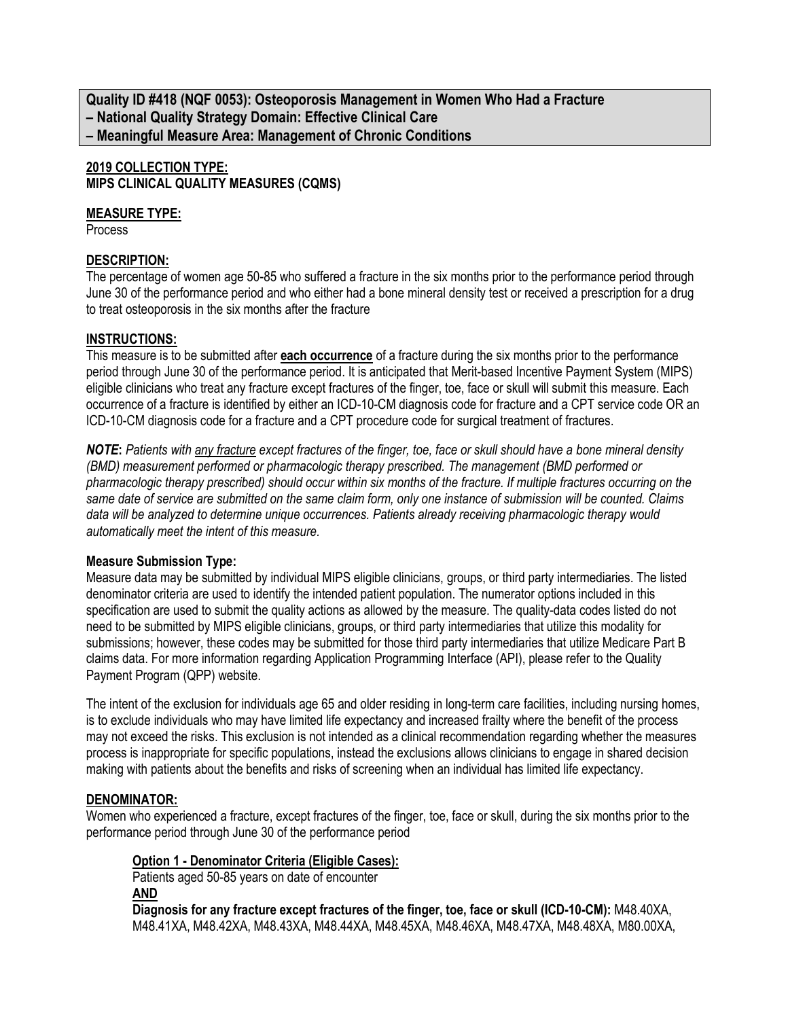**Quality ID #418 (NQF 0053): Osteoporosis Management in Women Who Had a Fracture – National Quality Strategy Domain: Effective Clinical Care – Meaningful Measure Area: Management of Chronic Conditions**

# **2019 COLLECTION TYPE:**

**MIPS CLINICAL QUALITY MEASURES (CQMS)**

### **MEASURE TYPE:**

**Process** 

# **DESCRIPTION:**

The percentage of women age 50-85 who suffered a fracture in the six months prior to the performance period through June 30 of the performance period and who either had a bone mineral density test or received a prescription for a drug to treat osteoporosis in the six months after the fracture

# **INSTRUCTIONS:**

This measure is to be submitted after **each occurrence** of a fracture during the six months prior to the performance period through June 30 of the performance period. It is anticipated that Merit-based Incentive Payment System (MIPS) eligible clinicians who treat any fracture except fractures of the finger, toe, face or skull will submit this measure. Each occurrence of a fracture is identified by either an ICD-10-CM diagnosis code for fracture and a CPT service code OR an ICD-10-CM diagnosis code for a fracture and a CPT procedure code for surgical treatment of fractures.

*NOTE***:** *Patients with any fracture except fractures of the finger, toe, face or skull should have a bone mineral density (BMD) measurement performed or pharmacologic therapy prescribed. The management (BMD performed or pharmacologic therapy prescribed) should occur within six months of the fracture. If multiple fractures occurring on the same date of service are submitted on the same claim form, only one instance of submission will be counted. Claims data will be analyzed to determine unique occurrences. Patients already receiving pharmacologic therapy would automatically meet the intent of this measure.*

## **Measure Submission Type:**

Measure data may be submitted by individual MIPS eligible clinicians, groups, or third party intermediaries. The listed denominator criteria are used to identify the intended patient population. The numerator options included in this specification are used to submit the quality actions as allowed by the measure. The quality-data codes listed do not need to be submitted by MIPS eligible clinicians, groups, or third party intermediaries that utilize this modality for submissions; however, these codes may be submitted for those third party intermediaries that utilize Medicare Part B claims data. For more information regarding Application Programming Interface (API), please refer to the Quality Payment Program (QPP) website.

The intent of the exclusion for individuals age 65 and older residing in long-term care facilities, including nursing homes, is to exclude individuals who may have limited life expectancy and increased frailty where the benefit of the process may not exceed the risks. This exclusion is not intended as a clinical recommendation regarding whether the measures process is inappropriate for specific populations, instead the exclusions allows clinicians to engage in shared decision making with patients about the benefits and risks of screening when an individual has limited life expectancy.

# **DENOMINATOR:**

Women who experienced a fracture, except fractures of the finger, toe, face or skull, during the six months prior to the performance period through June 30 of the performance period

## **Option 1 - Denominator Criteria (Eligible Cases):**

Patients aged 50-85 years on date of encounter **AND**

**Diagnosis for any fracture except fractures of the finger, toe, face or skull (ICD-10-CM):** M48.40XA, M48.41XA, M48.42XA, M48.43XA, M48.44XA, M48.45XA, M48.46XA, M48.47XA, M48.48XA, M80.00XA,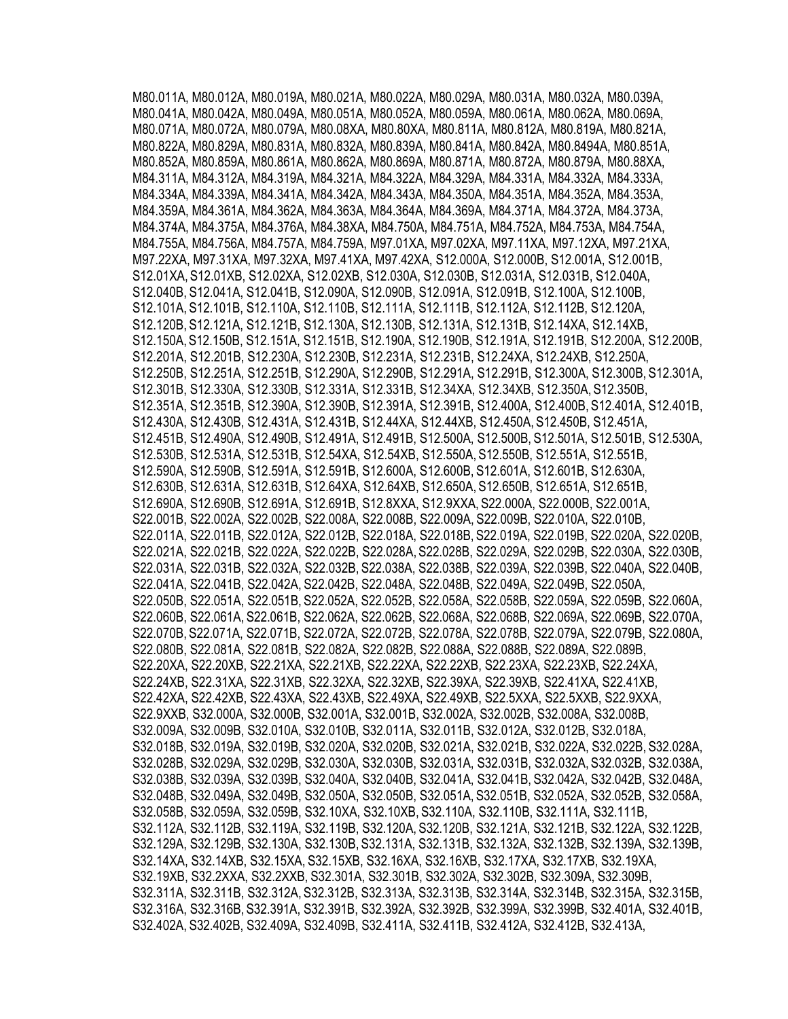M80.011A, M80.012A, M80.019A, M80.021A, M80.022A, M80.029A, M80.031A, M80.032A, M80.039A, M80.041A, M80.042A, M80.049A, M80.051A, M80.052A, M80.059A, M80.061A, M80.062A, M80.069A, M80.071A, M80.072A, M80.079A, M80.08XA, M80.80XA, M80.811A, M80.812A, M80.819A, M80.821A, M80.822A, M80.829A, M80.831A, M80.832A, M80.839A, M80.841A, M80.842A, M80.8494A, M80.851A, M80.852A, M80.859A, M80.861A, M80.862A, M80.869A, M80.871A, M80.872A, M80.879A, M80.88XA, M84.311A, M84.312A, M84.319A, M84.321A, M84.322A, M84.329A, M84.331A, M84.332A, M84.333A, M84.334A, M84.339A, M84.341A, M84.342A, M84.343A, M84.350A, M84.351A, M84.352A, M84.353A, M84.359A, M84.361A, M84.362A, M84.363A, M84.364A, M84.369A, M84.371A, M84.372A, M84.373A, M84.374A, M84.375A, M84.376A, M84.38XA, M84.750A, M84.751A, M84.752A, M84.753A, M84.754A, M84.755A, M84.756A, M84.757A, M84.759A, M97.01XA, M97.02XA, M97.11XA, M97.12XA, M97.21XA, M97.22XA, M97.31XA, M97.32XA, M97.41XA, M97.42XA, S12.000A, S12.000B, S12.001A, S12.001B, S12.01XA, S12.01XB, S12.02XA, S12.02XB, S12.030A, S12.030B, S12.031A, S12.031B, S12.040A, S12.040B, S12.041A, S12.041B, S12.090A, S12.090B, S12.091A, S12.091B, S12.100A, S12.100B, S12.101A, S12.101B, S12.110A, S12.110B, S12.111A, S12.111B, S12.112A, S12.112B, S12.120A, S12.120B, S12.121A, S12.121B, S12.130A, S12.130B, S12.131A, S12.131B, S12.14XA, S12.14XB, S12.150A, S12.150B, S12.151A, S12.151B, S12.190A, S12.190B, S12.191A, S12.191B, S12.200A, S12.200B, S12.201A, S12.201B, S12.230A, S12.230B, S12.231A, S12.231B, S12.24XA, S12.24XB, S12.250A, S12.250B, S12.251A, S12.251B, S12.290A, S12.290B, S12.291A, S12.291B, S12.300A, S12.300B, S12.301A, S12.301B, S12.330A, S12.330B, S12.331A, S12.331B, S12.34XA, S12.34XB, S12.350A, S12.350B, S12.351A, S12.351B, S12.390A, S12.390B, S12.391A, S12.391B, S12.400A, S12.400B, S12.401A, S12.401B, S12.430A, S12.430B, S12.431A, S12.431B, S12.44XA, S12.44XB, S12.450A, S12.450B, S12.451A, S12.451B, S12.490A, S12.490B, S12.491A, S12.491B, S12.500A, S12.500B, S12.501A, S12.501B, S12.530A, S12.530B, S12.531A, S12.531B, S12.54XA, S12.54XB, S12.550A, S12.550B, S12.551A, S12.551B, S12.590A, S12.590B, S12.591A, S12.591B, S12.600A, S12.600B, S12.601A, S12.601B, S12.630A, S12.630B, S12.631A, S12.631B, S12.64XA, S12.64XB, S12.650A, S12.650B, S12.651A, S12.651B, S12.690A, S12.690B, S12.691A, S12.691B, S12.8XXA, S12.9XXA, S22.000A, S22.000B, S22.001A, S22.001B, S22.002A, S22.002B, S22.008A, S22.008B, S22.009A, S22.009B, S22.010A, S22.010B, S22.011A, S22.011B, S22.012A, S22.012B, S22.018A, S22.018B, S22.019A, S22.019B, S22.020A, S22.020B, S22.021A, S22.021B, S22.022A, S22.022B, S22.028A, S22.028B, S22.029A, S22.029B, S22.030A, S22.030B, S22.031A, S22.031B, S22.032A, S22.032B, S22.038A, S22.038B, S22.039A, S22.039B, S22.040A, S22.040B, S22.041A, S22.041B, S22.042A, S22.042B, S22.048A, S22.048B, S22.049A, S22.049B, S22.050A, S22.050B, S22.051A, S22.051B, S22.052A, S22.052B, S22.058A, S22.058B, S22.059A, S22.059B, S22.060A, S22.060B, S22.061A, S22.061B, S22.062A, S22.062B, S22.068A, S22.068B, S22.069A, S22.069B, S22.070A, S22.070B, S22.071A, S22.071B, S22.072A, S22.072B, S22.078A, S22.078B, S22.079A, S22.079B, S22.080A, S22.080B, S22.081A, S22.081B, S22.082A, S22.082B, S22.088A, S22.088B, S22.089A, S22.089B, S22.20XA, S22.20XB, S22.21XA, S22.21XB, S22.22XA, S22.22XB, S22.23XA, S22.23XB, S22.24XA, S22.24XB, S22.31XA, S22.31XB, S22.32XA, S22.32XB, S22.39XA, S22.39XB, S22.41XA, S22.41XB, S22.42XA, S22.42XB, S22.43XA, S22.43XB, S22.49XA, S22.49XB, S22.5XXA, S22.5XXB, S22.9XXA, S22.9XXB, S32.000A, S32.000B, S32.001A, S32.001B, S32.002A, S32.002B, S32.008A, S32.008B, S32.009A, S32.009B, S32.010A, S32.010B, S32.011A, S32.011B, S32.012A, S32.012B, S32.018A, S32.018B, S32.019A, S32.019B, S32.020A, S32.020B, S32.021A, S32.021B, S32.022A, S32.022B, S32.028A, S32.028B, S32.029A, S32.029B, S32.030A, S32.030B, S32.031A, S32.031B, S32.032A, S32.032B, S32.038A, S32.038B, S32.039A, S32.039B, S32.040A, S32.040B, S32.041A, S32.041B, S32.042A, S32.042B, S32.048A, S32.048B, S32.049A, S32.049B, S32.050A, S32.050B, S32.051A, S32.051B, S32.052A, S32.052B, S32.058A, S32.058B, S32.059A, S32.059B, S32.10XA, S32.10XB, S32.110A, S32.110B, S32.111A, S32.111B, S32.112A, S32.112B, S32.119A, S32.119B, S32.120A, S32.120B, S32.121A, S32.121B, S32.122A, S32.122B, S32.129A, S32.129B, S32.130A, S32.130B, S32.131A, S32.131B, S32.132A, S32.132B, S32.139A, S32.139B, S32.14XA, S32.14XB, S32.15XA, S32.15XB, S32.16XA, S32.16XB, S32.17XA, S32.17XB, S32.19XA, S32.19XB, S32.2XXA, S32.2XXB, S32.301A, S32.301B, S32.302A, S32.302B, S32.309A, S32.309B, S32.311A, S32.311B, S32.312A, S32.312B, S32.313A, S32.313B, S32.314A, S32.314B, S32.315A, S32.315B, S32.316A, S32.316B, S32.391A, S32.391B, S32.392A, S32.392B, S32.399A, S32.399B, S32.401A, S32.401B, S32.402A, S32.402B, S32.409A, S32.409B, S32.411A, S32.411B, S32.412A, S32.412B, S32.413A,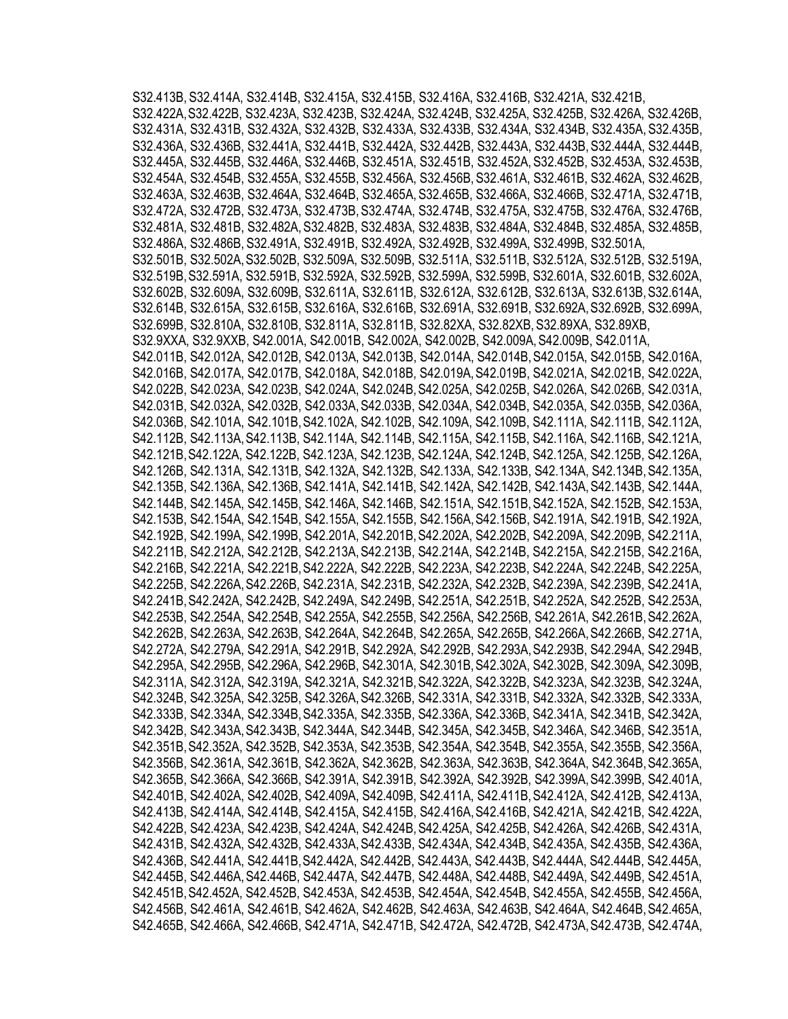S32.413B, S32.414A, S32.414B, S32.415A, S32.415B, S32.416A, S32.416B, S32.421A, S32.421B, S32.422A,S32.422B, S32.423A, S32.423B, S32.424A, S32.424B, S32.425A, S32.425B, S32.426A, S32.426B, S32.431A, S32.431B, S32.432A, S32.432B, S32.433A, S32.433B, S32.434A, S32.434B, S32.435A, S32.435B, S32.436A, S32.436B, S32.441A, S32.441B, S32.442A, S32.442B, S32.443A, S32.443B, S32.444A, S32.444B, S32.445A, S32.445B, S32.446A, S32.446B, S32.451A, S32.451B, S32.452A, S32.452B, S32.453A, S32.453B, S32.454A, S32.454B, S32.455A, S32.455B, S32.456A, S32.456B,S32.461A, S32.461B, S32.462A, S32.462B, S32.463A, S32.463B, S32.464A, S32.464B, S32.465A, S32.465B, S32.466A, S32.466B, S32.471A, S32.471B, S32.472A, S32.472B, S32.473A, S32.473B,S32.474A, S32.474B, S32.475A, S32.475B, S32.476A, S32.476B, S32.481A, S32.481B, S32.482A,S32.482B, S32.483A, S32.483B, S32.484A, S32.484B, S32.485A, S32.485B, S32.486A, S32.486B, S32.491A, S32.491B, S32.492A, S32.492B, S32.499A, S32.499B, S32.501A, S32.501B, S32.502A,S32.502B, S32.509A, S32.509B, S32.511A, S32.511B, S32.512A, S32.512B, S32.519A, S32.519B,S32.591A, S32.591B, S32.592A, S32.592B, S32.599A, S32.599B, S32.601A, S32.601B, S32.602A, S32.602B, S32.609A, S32.609B, S32.611A, S32.611B, S32.612A, S32.612B, S32.613A, S32.613B,S32.614A, S32.614B, S32.615A, S32.615B, S32.616A, S32.616B, S32.691A, S32.691B, S32.692A,S32.692B, S32.699A, S32.699B, S32.810A, S32.810B, S32.811A, S32.811B, S32.82XA, S32.82XB, S32.89XA, S32.89XB, S32.9XXA, S32.9XXB, S42.001A, S42.001B, S42.002A, S42.002B, S42.009A,S42.009B, S42.011A, S42.011B, S42.012A, S42.012B, S42.013A, S42.013B, S42.014A, S42.014B,S42.015A, S42.015B, S42.016A, S42.016B, S42.017A, S42.017B, S42.018A, S42.018B, S42.019A,S42.019B, S42.021A, S42.021B, S42.022A, S42.022B, S42.023A, S42.023B, S42.024A, S42.024B,S42.025A, S42.025B, S42.026A, S42.026B, S42.031A, S42.031B, S42.032A, S42.032B, S42.033A,S42.033B, S42.034A, S42.034B, S42.035A, S42.035B, S42.036A, S42.036B, S42.101A, S42.101B,S42.102A, S42.102B, S42.109A, S42.109B, S42.111A, S42.111B, S42.112A, S42.112B, S42.113A,S42.113B, S42.114A, S42.114B, S42.115A, S42.115B, S42.116A, S42.116B, S42.121A, S42.121B,S42.122A, S42.122B, S42.123A, S42.123B, S42.124A, S42.124B, S42.125A, S42.125B, S42.126A, S42.126B, S42.131A, S42.131B, S42.132A, S42.132B, S42.133A, S42.133B, S42.134A, S42.134B, S42.135A, S42.135B, S42.136A, S42.136B, S42.141A, S42.141B, S42.142A, S42.142B, S42.143A, S42.143B, S42.144A, S42.144B, S42.145A, S42.145B, S42.146A, S42.146B, S42.151A, S42.151B,S42.152A, S42.152B, S42.153A, S42.153B, S42.154A, S42.154B, S42.155A, S42.155B, S42.156A,S42.156B, S42.191A, S42.191B, S42.192A, S42.192B, S42.199A, S42.199B, S42.201A, S42.201B,S42.202A, S42.202B, S42.209A, S42.209B, S42.211A, S42.211B, S42.212A, S42.212B, S42.213A,S42.213B, S42.214A, S42.214B, S42.215A, S42.215B, S42.216A, S42.216B, S42.221A, S42.221B,S42.222A, S42.222B, S42.223A, S42.223B, S42.224A, S42.224B, S42.225A, S42.225B, S42.226A,S42.226B, S42.231A, S42.231B, S42.232A, S42.232B, S42.239A, S42.239B, S42.241A, S42.241B,S42.242A, S42.242B, S42.249A, S42.249B, S42.251A, S42.251B, S42.252A, S42.252B, S42.253A, S42.253B, S42.254A, S42.254B, S42.255A, S42.255B, S42.256A, S42.256B, S42.261A, S42.261B, S42.262A, S42.262B, S42.263A, S42.263B, S42.264A, S42.264B, S42.265A, S42.265B, S42.266A,S42.266B, S42.271A, S42.272A, S42.279A, S42.291A, S42.291B, S42.292A, S42.292B, S42.293A,S42.293B, S42.294A, S42.294B, S42.295A, S42.295B, S42.296A, S42.296B, S42.301A, S42.301B,S42.302A, S42.302B, S42.309A, S42.309B, S42.311A, S42.312A, S42.319A, S42.321A, S42.321B,S42.322A, S42.322B, S42.323A, S42.323B, S42.324A, S42.324B, S42.325A, S42.325B, S42.326A,S42.326B, S42.331A, S42.331B, S42.332A, S42.332B, S42.333A, S42.333B, S42.334A, S42.334B, S42.335A, S42.335B, S42.336A, S42.336B, S42.341A, S42.341B, S42.342A, S42.342B, S42.343A,S42.343B, S42.344A, S42.344B, S42.345A, S42.345B, S42.346A, S42.346B, S42.351A, S42.351B,S42.352A, S42.352B, S42.353A, S42.353B, S42.354A, S42.354B, S42.355A, S42.355B, S42.356A, S42.356B, S42.361A, S42.361B, S42.362A, S42.362B, S42.363A, S42.363B, S42.364A, S42.364B, S42.365A, S42.365B, S42.366A, S42.366B, S42.391A, S42.391B, S42.392A, S42.392B, S42.399A,S42.399B, S42.401A, S42.401B, S42.402A, S42.402B, S42.409A, S42.409B, S42.411A, S42.411B,S42.412A, S42.412B, S42.413A, S42.413B, S42.414A, S42.414B, S42.415A, S42.415B, S42.416A,S42.416B, S42.421A, S42.421B, S42.422A, S42.422B, S42.423A, S42.423B, S42.424A, S42.424B,S42.425A, S42.425B, S42.426A, S42.426B, S42.431A, S42.431B, S42.432A, S42.432B, S42.433A,S42.433B, S42.434A, S42.434B, S42.435A, S42.435B, S42.436A, S42.436B, S42.441A, S42.441B,S42.442A, S42.442B, S42.443A, S42.443B, S42.444A, S42.444B, S42.445A, S42.445B, S42.446A,S42.446B, S42.447A, S42.447B, S42.448A, S42.448B, S42.449A, S42.449B, S42.451A, S42.451B,S42.452A, S42.452B, S42.453A, S42.453B, S42.454A, S42.454B, S42.455A, S42.455B, S42.456A, S42.456B, S42.461A, S42.461B, S42.462A, S42.462B, S42.463A, S42.463B, S42.464A, S42.464B, S42.465A, S42.465B, S42.466A, S42.466B, S42.471A, S42.471B, S42.472A, S42.472B, S42.473A,S42.473B, S42.474A,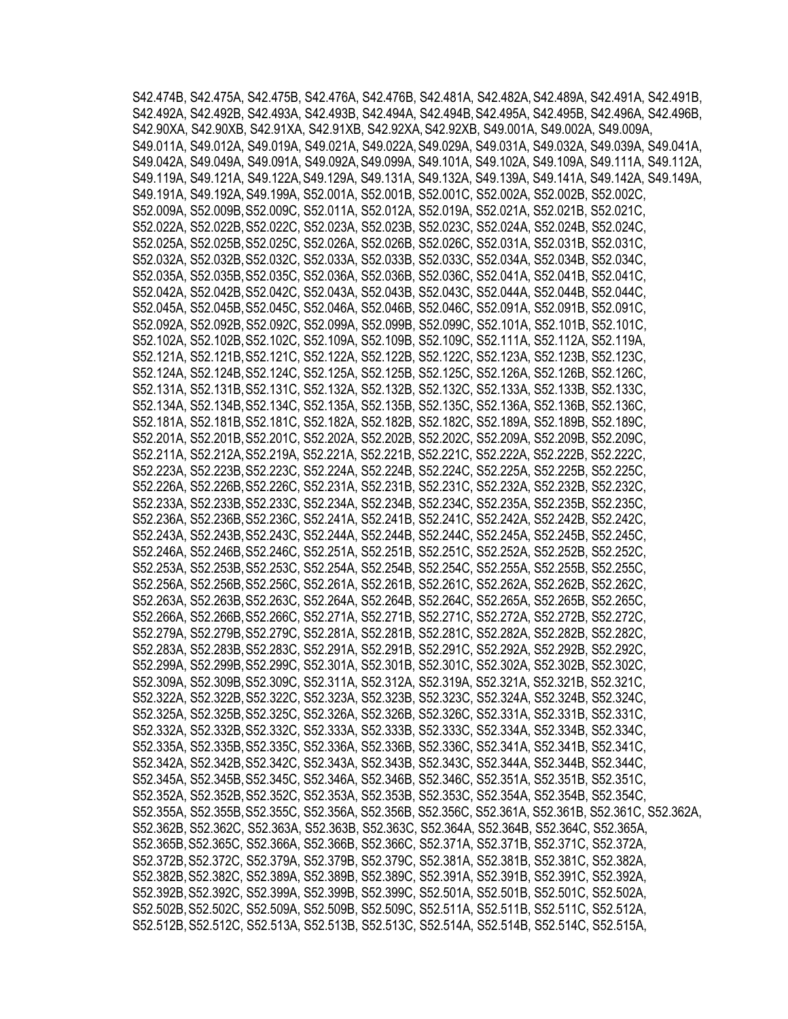S42.474B, S42.475A, S42.475B, S42.476A, S42.476B, S42.481A, S42.482A,S42.489A, S42.491A, S42.491B, S42.492A, S42.492B, S42.493A, S42.493B, S42.494A, S42.494B, S42.495A, S42.495B, S42.496A, S42.496B, S42.90XA, S42.90XB, S42.91XA, S42.91XB, S42.92XA,S42.92XB, S49.001A, S49.002A, S49.009A, S49.011A, S49.012A, S49.019A, S49.021A, S49.022A,S49.029A, S49.031A, S49.032A, S49.039A, S49.041A, S49.042A, S49.049A, S49.091A, S49.092A,S49.099A, S49.101A, S49.102A, S49.109A, S49.111A, S49.112A, S49.119A, S49.121A, S49.122A,S49.129A, S49.131A, S49.132A, S49.139A, S49.141A, S49.142A, S49.149A, S49.191A, S49.192A,S49.199A, S52.001A, S52.001B, S52.001C, S52.002A, S52.002B, S52.002C, S52.009A, S52.009B,S52.009C, S52.011A, S52.012A, S52.019A, S52.021A, S52.021B, S52.021C, S52.022A, S52.022B,S52.022C, S52.023A, S52.023B, S52.023C, S52.024A, S52.024B, S52.024C, S52.025A, S52.025B,S52.025C, S52.026A, S52.026B, S52.026C, S52.031A, S52.031B, S52.031C, S52.032A, S52.032B,S52.032C, S52.033A, S52.033B, S52.033C, S52.034A, S52.034B, S52.034C, S52.035A, S52.035B,S52.035C, S52.036A, S52.036B, S52.036C, S52.041A, S52.041B, S52.041C, S52.042A, S52.042B,S52.042C, S52.043A, S52.043B, S52.043C, S52.044A, S52.044B, S52.044C, S52.045A, S52.045B,S52.045C, S52.046A, S52.046B, S52.046C, S52.091A, S52.091B, S52.091C, S52.092A, S52.092B,S52.092C, S52.099A, S52.099B, S52.099C, S52.101A, S52.101B, S52.101C, S52.102A, S52.102B,S52.102C, S52.109A, S52.109B, S52.109C, S52.111A, S52.112A, S52.119A, S52.121A, S52.121B,S52.121C, S52.122A, S52.122B, S52.122C, S52.123A, S52.123B, S52.123C, S52.124A, S52.124B,S52.124C, S52.125A, S52.125B, S52.125C, S52.126A, S52.126B, S52.126C, S52.131A, S52.131B,S52.131C, S52.132A, S52.132B, S52.132C, S52.133A, S52.133B, S52.133C, S52.134A, S52.134B,S52.134C, S52.135A, S52.135B, S52.135C, S52.136A, S52.136B, S52.136C, S52.181A, S52.181B,S52.181C, S52.182A, S52.182B, S52.182C, S52.189A, S52.189B, S52.189C, S52.201A, S52.201B,S52.201C, S52.202A, S52.202B, S52.202C, S52.209A, S52.209B, S52.209C, S52.211A, S52.212A,S52.219A, S52.221A, S52.221B, S52.221C, S52.222A, S52.222B, S52.222C, S52.223A, S52.223B,S52.223C, S52.224A, S52.224B, S52.224C, S52.225A, S52.225B, S52.225C, S52.226A, S52.226B,S52.226C, S52.231A, S52.231B, S52.231C, S52.232A, S52.232B, S52.232C, S52.233A, S52.233B,S52.233C, S52.234A, S52.234B, S52.234C, S52.235A, S52.235B, S52.235C, S52.236A, S52.236B,S52.236C, S52.241A, S52.241B, S52.241C, S52.242A, S52.242B, S52.242C, S52.243A, S52.243B,S52.243C, S52.244A, S52.244B, S52.244C, S52.245A, S52.245B, S52.245C, S52.246A, S52.246B,S52.246C, S52.251A, S52.251B, S52.251C, S52.252A, S52.252B, S52.252C, S52.253A, S52.253B,S52.253C, S52.254A, S52.254B, S52.254C, S52.255A, S52.255B, S52.255C, S52.256A, S52.256B,S52.256C, S52.261A, S52.261B, S52.261C, S52.262A, S52.262B, S52.262C, S52.263A, S52.263B,S52.263C, S52.264A, S52.264B, S52.264C, S52.265A, S52.265B, S52.265C, S52.266A, S52.266B,S52.266C, S52.271A, S52.271B, S52.271C, S52.272A, S52.272B, S52.272C, S52.279A, S52.279B,S52.279C, S52.281A, S52.281B, S52.281C, S52.282A, S52.282B, S52.282C, S52.283A, S52.283B,S52.283C, S52.291A, S52.291B, S52.291C, S52.292A, S52.292B, S52.292C, S52.299A, S52.299B,S52.299C, S52.301A, S52.301B, S52.301C, S52.302A, S52.302B, S52.302C, S52.309A, S52.309B,S52.309C, S52.311A, S52.312A, S52.319A, S52.321A, S52.321B, S52.321C, S52.322A, S52.322B,S52.322C, S52.323A, S52.323B, S52.323C, S52.324A, S52.324B, S52.324C, S52.325A, S52.325B,S52.325C, S52.326A, S52.326B, S52.326C, S52.331A, S52.331B, S52.331C, S52.332A, S52.332B,S52.332C, S52.333A, S52.333B, S52.333C, S52.334A, S52.334B, S52.334C, S52.335A, S52.335B,S52.335C, S52.336A, S52.336B, S52.336C, S52.341A, S52.341B, S52.341C, S52.342A, S52.342B,S52.342C, S52.343A, S52.343B, S52.343C, S52.344A, S52.344B, S52.344C, S52.345A, S52.345B,S52.345C, S52.346A, S52.346B, S52.346C, S52.351A, S52.351B, S52.351C, S52.352A, S52.352B,S52.352C, S52.353A, S52.353B, S52.353C, S52.354A, S52.354B, S52.354C, S52.355A, S52.355B,S52.355C, S52.356A, S52.356B, S52.356C, S52.361A, S52.361B, S52.361C, S52.362A, S52.362B, S52.362C, S52.363A, S52.363B, S52.363C, S52.364A, S52.364B, S52.364C, S52.365A, S52.365B,S52.365C, S52.366A, S52.366B, S52.366C, S52.371A, S52.371B, S52.371C, S52.372A, S52.372B,S52.372C, S52.379A, S52.379B, S52.379C, S52.381A, S52.381B, S52.381C, S52.382A, S52.382B,S52.382C, S52.389A, S52.389B, S52.389C, S52.391A, S52.391B, S52.391C, S52.392A, S52.392B,S52.392C, S52.399A, S52.399B, S52.399C, S52.501A, S52.501B, S52.501C, S52.502A, S52.502B,S52.502C, S52.509A, S52.509B, S52.509C, S52.511A, S52.511B, S52.511C, S52.512A, S52.512B,S52.512C, S52.513A, S52.513B, S52.513C, S52.514A, S52.514B, S52.514C, S52.515A,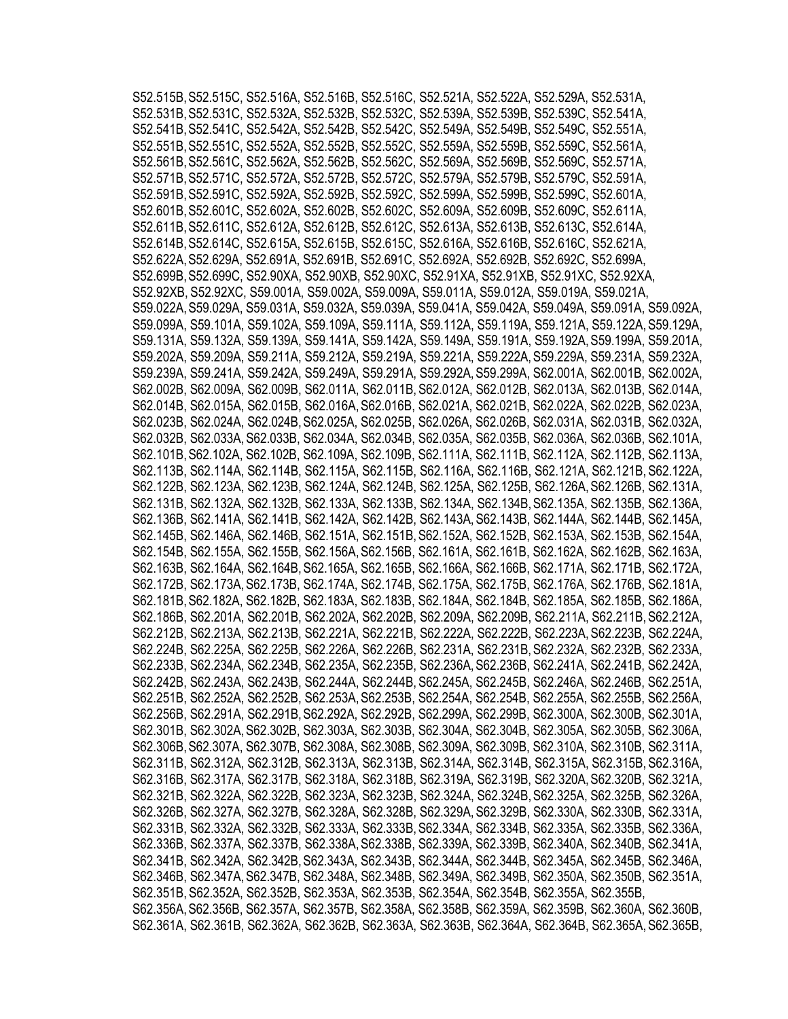S52.515B,S52.515C, S52.516A, S52.516B, S52.516C, S52.521A, S52.522A, S52.529A, S52.531A, S52.531B,S52.531C, S52.532A, S52.532B, S52.532C, S52.539A, S52.539B, S52.539C, S52.541A, S52.541B,S52.541C, S52.542A, S52.542B, S52.542C, S52.549A, S52.549B, S52.549C, S52.551A, S52.551B,S52.551C, S52.552A, S52.552B, S52.552C, S52.559A, S52.559B, S52.559C, S52.561A, S52.561B,S52.561C, S52.562A, S52.562B, S52.562C, S52.569A, S52.569B, S52.569C, S52.571A, S52.571B,S52.571C, S52.572A, S52.572B, S52.572C, S52.579A, S52.579B, S52.579C, S52.591A, S52.591B,S52.591C, S52.592A, S52.592B, S52.592C, S52.599A, S52.599B, S52.599C, S52.601A, S52.601B,S52.601C, S52.602A, S52.602B, S52.602C, S52.609A, S52.609B, S52.609C, S52.611A, S52.611B,S52.611C, S52.612A, S52.612B, S52.612C, S52.613A, S52.613B, S52.613C, S52.614A, S52.614B,S52.614C, S52.615A, S52.615B, S52.615C, S52.616A, S52.616B, S52.616C, S52.621A, S52.622A,S52.629A, S52.691A, S52.691B, S52.691C, S52.692A, S52.692B, S52.692C, S52.699A, S52.699B,S52.699C, S52.90XA, S52.90XB, S52.90XC, S52.91XA, S52.91XB, S52.91XC, S52.92XA, S52.92XB, S52.92XC, S59.001A, S59.002A, S59.009A, S59.011A, S59.012A, S59.019A, S59.021A, S59.022A,S59.029A, S59.031A, S59.032A, S59.039A, S59.041A, S59.042A, S59.049A, S59.091A, S59.092A, S59.099A, S59.101A, S59.102A, S59.109A, S59.111A, S59.112A, S59.119A, S59.121A, S59.122A,S59.129A, S59.131A, S59.132A, S59.139A, S59.141A, S59.142A, S59.149A, S59.191A, S59.192A,S59.199A, S59.201A, S59.202A, S59.209A, S59.211A, S59.212A, S59.219A, S59.221A, S59.222A,S59.229A, S59.231A, S59.232A, S59.239A, S59.241A, S59.242A, S59.249A, S59.291A, S59.292A,S59.299A, S62.001A, S62.001B, S62.002A, S62.002B, S62.009A, S62.009B, S62.011A, S62.011B,S62.012A, S62.012B, S62.013A, S62.013B, S62.014A, S62.014B, S62.015A, S62.015B, S62.016A,S62.016B, S62.021A, S62.021B, S62.022A, S62.022B, S62.023A, S62.023B, S62.024A, S62.024B, S62.025A, S62.025B, S62.026A, S62.026B, S62.031A, S62.031B, S62.032A, S62.032B, S62.033A,S62.033B, S62.034A, S62.034B, S62.035A, S62.035B, S62.036A, S62.036B, S62.101A, S62.101B,S62.102A, S62.102B, S62.109A, S62.109B, S62.111A, S62.111B, S62.112A, S62.112B, S62.113A, S62.113B, S62.114A, S62.114B, S62.115A, S62.115B, S62.116A, S62.116B, S62.121A, S62.121B, S62.122A, S62.122B, S62.123A, S62.123B, S62.124A, S62.124B, S62.125A, S62.125B, S62.126A,S62.126B, S62.131A, S62.131B, S62.132A, S62.132B, S62.133A, S62.133B, S62.134A, S62.134B,S62.135A, S62.135B, S62.136A, S62.136B, S62.141A, S62.141B, S62.142A, S62.142B, S62.143A,S62.143B, S62.144A, S62.144B, S62.145A, S62.145B, S62.146A, S62.146B, S62.151A, S62.151B,S62.152A, S62.152B, S62.153A, S62.153B, S62.154A, S62.154B, S62.155A, S62.155B, S62.156A,S62.156B, S62.161A, S62.161B, S62.162A, S62.162B, S62.163A, S62.163B, S62.164A, S62.164B, S62.165A, S62.165B, S62.166A, S62.166B, S62.171A, S62.171B, S62.172A, S62.172B, S62.173A,S62.173B, S62.174A, S62.174B, S62.175A, S62.175B, S62.176A, S62.176B, S62.181A, S62.181B,S62.182A, S62.182B, S62.183A, S62.183B, S62.184A, S62.184B, S62.185A, S62.185B, S62.186A, S62.186B, S62.201A, S62.201B, S62.202A, S62.202B, S62.209A, S62.209B, S62.211A, S62.211B, S62.212A, S62.212B, S62.213A, S62.213B, S62.221A, S62.221B, S62.222A, S62.222B, S62.223A, S62.223B, S62.224A, S62.224B, S62.225A, S62.225B, S62.226A, S62.226B, S62.231A, S62.231B,S62.232A, S62.232B, S62.233A, S62.233B, S62.234A, S62.234B, S62.235A, S62.235B, S62.236A,S62.236B, S62.241A, S62.241B, S62.242A, S62.242B, S62.243A, S62.243B, S62.244A, S62.244B, S62.245A, S62.245B, S62.246A, S62.246B, S62.251A, S62.251B, S62.252A, S62.252B, S62.253A,S62.253B, S62.254A, S62.254B, S62.255A, S62.255B, S62.256A, S62.256B, S62.291A, S62.291B,S62.292A, S62.292B, S62.299A, S62.299B, S62.300A, S62.300B, S62.301A, S62.301B, S62.302A,S62.302B, S62.303A, S62.303B, S62.304A, S62.304B, S62.305A, S62.305B, S62.306A, S62.306B,S62.307A, S62.307B, S62.308A, S62.308B, S62.309A, S62.309B, S62.310A, S62.310B, S62.311A, S62.311B, S62.312A, S62.312B, S62.313A, S62.313B, S62.314A, S62.314B, S62.315A, S62.315B, S62.316A, S62.316B, S62.317A, S62.317B, S62.318A, S62.318B, S62.319A, S62.319B, S62.320A,S62.320B, S62.321A, S62.321B, S62.322A, S62.322B, S62.323A, S62.323B, S62.324A, S62.324B,S62.325A, S62.325B, S62.326A, S62.326B, S62.327A, S62.327B, S62.328A, S62.328B, S62.329A,S62.329B, S62.330A, S62.330B, S62.331A, S62.331B, S62.332A, S62.332B, S62.333A, S62.333B,S62.334A, S62.334B, S62.335A, S62.335B, S62.336A, S62.336B, S62.337A, S62.337B, S62.338A,S62.338B, S62.339A, S62.339B, S62.340A, S62.340B, S62.341A, S62.341B, S62.342A, S62.342B, S62.343A, S62.343B, S62.344A, S62.344B, S62.345A, S62.345B, S62.346A, S62.346B, S62.347A,S62.347B, S62.348A, S62.348B, S62.349A, S62.349B, S62.350A, S62.350B, S62.351A, S62.351B, S62.352A, S62.352B, S62.353A, S62.353B, S62.354A, S62.354B, S62.355A, S62.355B, S62.356A,S62.356B, S62.357A, S62.357B, S62.358A, S62.358B, S62.359A, S62.359B, S62.360A, S62.360B, S62.361A, S62.361B, S62.362A, S62.362B, S62.363A, S62.363B, S62.364A, S62.364B, S62.365A, S62.365B,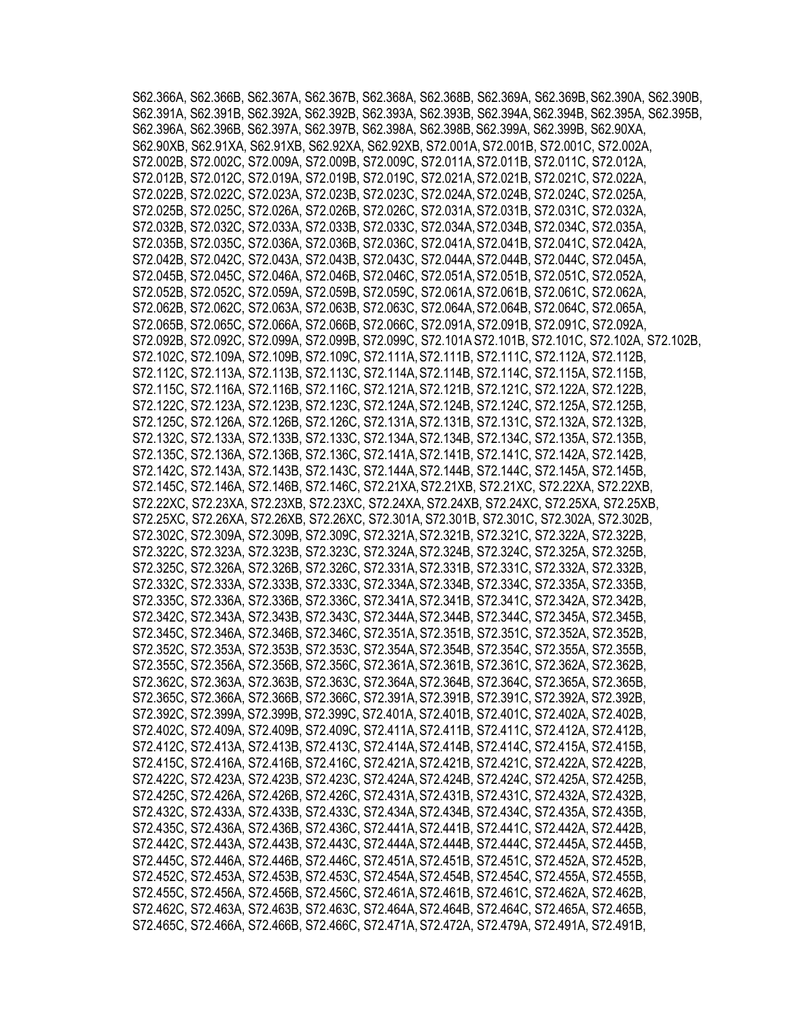S62.366A, S62.366B, S62.367A, S62.367B, S62.368A, S62.368B, S62.369A, S62.369B,S62.390A, S62.390B, S62.391A, S62.391B, S62.392A, S62.392B, S62.393A, S62.393B, S62.394A,S62.394B, S62.395A, S62.395B, S62.396A, S62.396B, S62.397A, S62.397B, S62.398A, S62.398B,S62.399A, S62.399B, S62.90XA, S62.90XB, S62.91XA, S62.91XB, S62.92XA, S62.92XB, S72.001A, S72.001B, S72.001C, S72.002A, S72.002B, S72.002C, S72.009A, S72.009B, S72.009C, S72.011A,S72.011B, S72.011C, S72.012A, S72.012B, S72.012C, S72.019A, S72.019B, S72.019C, S72.021A,S72.021B, S72.021C, S72.022A, S72.022B, S72.022C, S72.023A, S72.023B, S72.023C, S72.024A,S72.024B, S72.024C, S72.025A, S72.025B, S72.025C, S72.026A, S72.026B, S72.026C, S72.031A,S72.031B, S72.031C, S72.032A, S72.032B, S72.032C, S72.033A, S72.033B, S72.033C, S72.034A,S72.034B, S72.034C, S72.035A, S72.035B, S72.035C, S72.036A, S72.036B, S72.036C, S72.041A,S72.041B, S72.041C, S72.042A, S72.042B, S72.042C, S72.043A, S72.043B, S72.043C, S72.044A,S72.044B, S72.044C, S72.045A, S72.045B, S72.045C, S72.046A, S72.046B, S72.046C, S72.051A,S72.051B, S72.051C, S72.052A, S72.052B, S72.052C, S72.059A, S72.059B, S72.059C, S72.061A,S72.061B, S72.061C, S72.062A, S72.062B, S72.062C, S72.063A, S72.063B, S72.063C, S72.064A,S72.064B, S72.064C, S72.065A, S72.065B, S72.065C, S72.066A, S72.066B, S72.066C, S72.091A,S72.091B, S72.091C, S72.092A, S72.092B, S72.092C, S72.099A, S72.099B, S72.099C, S72.101A S72.101B, S72.101C, S72.102A, S72.102B, S72.102C, S72.109A, S72.109B, S72.109C, S72.111A,S72.111B, S72.111C, S72.112A, S72.112B, S72.112C, S72.113A, S72.113B, S72.113C, S72.114A,S72.114B, S72.114C, S72.115A, S72.115B, S72.115C, S72.116A, S72.116B, S72.116C, S72.121A,S72.121B, S72.121C, S72.122A, S72.122B, S72.122C, S72.123A, S72.123B, S72.123C, S72.124A,S72.124B, S72.124C, S72.125A, S72.125B, S72.125C, S72.126A, S72.126B, S72.126C, S72.131A,S72.131B, S72.131C, S72.132A, S72.132B, S72.132C, S72.133A, S72.133B, S72.133C, S72.134A,S72.134B, S72.134C, S72.135A, S72.135B, S72.135C, S72.136A, S72.136B, S72.136C, S72.141A,S72.141B, S72.141C, S72.142A, S72.142B, S72.142C, S72.143A, S72.143B, S72.143C, S72.144A,S72.144B, S72.144C, S72.145A, S72.145B, S72.145C, S72.146A, S72.146B, S72.146C, S72.21XA,S72.21XB, S72.21XC, S72.22XA, S72.22XB, S72.22XC, S72.23XA, S72.23XB, S72.23XC, S72.24XA, S72.24XB, S72.24XC, S72.25XA, S72.25XB, S72.25XC, S72.26XA, S72.26XB, S72.26XC, S72.301A, S72.301B, S72.301C, S72.302A, S72.302B, S72.302C, S72.309A, S72.309B, S72.309C, S72.321A,S72.321B, S72.321C, S72.322A, S72.322B, S72.322C, S72.323A, S72.323B, S72.323C, S72.324A,S72.324B, S72.324C, S72.325A, S72.325B, S72.325C, S72.326A, S72.326B, S72.326C, S72.331A,S72.331B, S72.331C, S72.332A, S72.332B, S72.332C, S72.333A, S72.333B, S72.333C, S72.334A,S72.334B, S72.334C, S72.335A, S72.335B, S72.335C, S72.336A, S72.336B, S72.336C, S72.341A,S72.341B, S72.341C, S72.342A, S72.342B, S72.342C, S72.343A, S72.343B, S72.343C, S72.344A,S72.344B, S72.344C, S72.345A, S72.345B, S72.345C, S72.346A, S72.346B, S72.346C, S72.351A,S72.351B, S72.351C, S72.352A, S72.352B, S72.352C, S72.353A, S72.353B, S72.353C, S72.354A,S72.354B, S72.354C, S72.355A, S72.355B, S72.355C, S72.356A, S72.356B, S72.356C, S72.361A,S72.361B, S72.361C, S72.362A, S72.362B, S72.362C, S72.363A, S72.363B, S72.363C, S72.364A,S72.364B, S72.364C, S72.365A, S72.365B, S72.365C, S72.366A, S72.366B, S72.366C, S72.391A,S72.391B, S72.391C, S72.392A, S72.392B, S72.392C, S72.399A, S72.399B, S72.399C, S72.401A, S72.401B, S72.401C, S72.402A, S72.402B, S72.402C, S72.409A, S72.409B, S72.409C, S72.411A,S72.411B, S72.411C, S72.412A, S72.412B, S72.412C, S72.413A, S72.413B, S72.413C, S72.414A,S72.414B, S72.414C, S72.415A, S72.415B, S72.415C, S72.416A, S72.416B, S72.416C, S72.421A,S72.421B, S72.421C, S72.422A, S72.422B, S72.422C, S72.423A, S72.423B, S72.423C, S72.424A,S72.424B, S72.424C, S72.425A, S72.425B, S72.425C, S72.426A, S72.426B, S72.426C, S72.431A,S72.431B, S72.431C, S72.432A, S72.432B, S72.432C, S72.433A, S72.433B, S72.433C, S72.434A,S72.434B, S72.434C, S72.435A, S72.435B, S72.435C, S72.436A, S72.436B, S72.436C, S72.441A,S72.441B, S72.441C, S72.442A, S72.442B, S72.442C, S72.443A, S72.443B, S72.443C, S72.444A,S72.444B, S72.444C, S72.445A, S72.445B, S72.445C, S72.446A, S72.446B, S72.446C, S72.451A,S72.451B, S72.451C, S72.452A, S72.452B, S72.452C, S72.453A, S72.453B, S72.453C, S72.454A,S72.454B, S72.454C, S72.455A, S72.455B, S72.455C, S72.456A, S72.456B, S72.456C, S72.461A,S72.461B, S72.461C, S72.462A, S72.462B, S72.462C, S72.463A, S72.463B, S72.463C, S72.464A,S72.464B, S72.464C, S72.465A, S72.465B, S72.465C, S72.466A, S72.466B, S72.466C, S72.471A,S72.472A, S72.479A, S72.491A, S72.491B,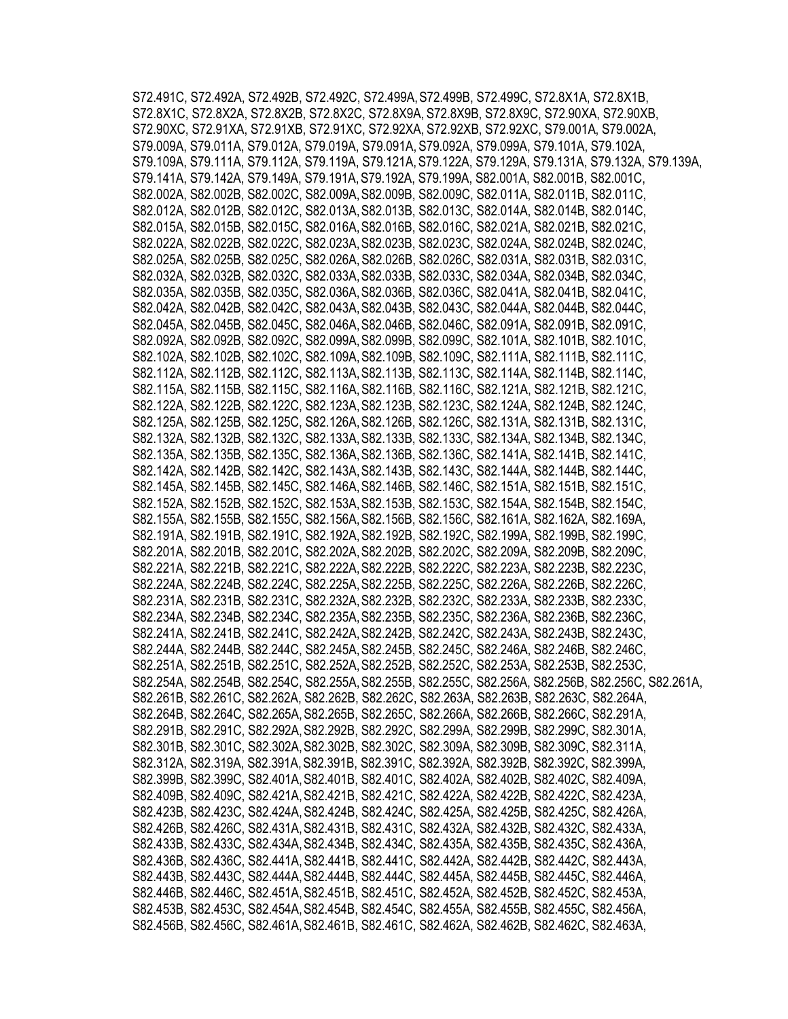S72.491C, S72.492A, S72.492B, S72.492C, S72.499A,S72.499B, S72.499C, S72.8X1A, S72.8X1B, S72.8X1C, S72.8X2A, S72.8X2B, S72.8X2C, S72.8X9A, S72.8X9B, S72.8X9C, S72.90XA, S72.90XB, S72.90XC, S72.91XA, S72.91XB, S72.91XC, S72.92XA, S72.92XB, S72.92XC, S79.001A, S79.002A, S79.009A, S79.011A, S79.012A, S79.019A, S79.091A, S79.092A, S79.099A, S79.101A, S79.102A, S79.109A, S79.111A, S79.112A, S79.119A, S79.121A,S79.122A, S79.129A, S79.131A, S79.132A, S79.139A, S79.141A, S79.142A, S79.149A, S79.191A,S79.192A, S79.199A, S82.001A, S82.001B, S82.001C, S82.002A, S82.002B, S82.002C, S82.009A,S82.009B, S82.009C, S82.011A, S82.011B, S82.011C, S82.012A, S82.012B, S82.012C, S82.013A,S82.013B, S82.013C, S82.014A, S82.014B, S82.014C, S82.015A, S82.015B, S82.015C, S82.016A,S82.016B, S82.016C, S82.021A, S82.021B, S82.021C, S82.022A, S82.022B, S82.022C, S82.023A,S82.023B, S82.023C, S82.024A, S82.024B, S82.024C, S82.025A, S82.025B, S82.025C, S82.026A,S82.026B, S82.026C, S82.031A, S82.031B, S82.031C, S82.032A, S82.032B, S82.032C, S82.033A,S82.033B, S82.033C, S82.034A, S82.034B, S82.034C, S82.035A, S82.035B, S82.035C, S82.036A,S82.036B, S82.036C, S82.041A, S82.041B, S82.041C, S82.042A, S82.042B, S82.042C, S82.043A,S82.043B, S82.043C, S82.044A, S82.044B, S82.044C, S82.045A, S82.045B, S82.045C, S82.046A,S82.046B, S82.046C, S82.091A, S82.091B, S82.091C, S82.092A, S82.092B, S82.092C, S82.099A,S82.099B, S82.099C, S82.101A, S82.101B, S82.101C, S82.102A, S82.102B, S82.102C, S82.109A,S82.109B, S82.109C, S82.111A, S82.111B, S82.111C, S82.112A, S82.112B, S82.112C, S82.113A,S82.113B, S82.113C, S82.114A, S82.114B, S82.114C, S82.115A, S82.115B, S82.115C, S82.116A,S82.116B, S82.116C, S82.121A, S82.121B, S82.121C, S82.122A, S82.122B, S82.122C, S82.123A,S82.123B, S82.123C, S82.124A, S82.124B, S82.124C, S82.125A, S82.125B, S82.125C, S82.126A,S82.126B, S82.126C, S82.131A, S82.131B, S82.131C, S82.132A, S82.132B, S82.132C, S82.133A,S82.133B, S82.133C, S82.134A, S82.134B, S82.134C, S82.135A, S82.135B, S82.135C, S82.136A,S82.136B, S82.136C, S82.141A, S82.141B, S82.141C, S82.142A, S82.142B, S82.142C, S82.143A,S82.143B, S82.143C, S82.144A, S82.144B, S82.144C, S82.145A, S82.145B, S82.145C, S82.146A,S82.146B, S82.146C, S82.151A, S82.151B, S82.151C, S82.152A, S82.152B, S82.152C, S82.153A,S82.153B, S82.153C, S82.154A, S82.154B, S82.154C, S82.155A, S82.155B, S82.155C, S82.156A,S82.156B, S82.156C, S82.161A, S82.162A, S82.169A, S82.191A, S82.191B, S82.191C, S82.192A,S82.192B, S82.192C, S82.199A, S82.199B, S82.199C, S82.201A, S82.201B, S82.201C, S82.202A,S82.202B, S82.202C, S82.209A, S82.209B, S82.209C, S82.221A, S82.221B, S82.221C, S82.222A,S82.222B, S82.222C, S82.223A, S82.223B, S82.223C, S82.224A, S82.224B, S82.224C, S82.225A,S82.225B, S82.225C, S82.226A, S82.226B, S82.226C, S82.231A, S82.231B, S82.231C, S82.232A,S82.232B, S82.232C, S82.233A, S82.233B, S82.233C, S82.234A, S82.234B, S82.234C, S82.235A,S82.235B, S82.235C, S82.236A, S82.236B, S82.236C, S82.241A, S82.241B, S82.241C, S82.242A,S82.242B, S82.242C, S82.243A, S82.243B, S82.243C, S82.244A, S82.244B, S82.244C, S82.245A,S82.245B, S82.245C, S82.246A, S82.246B, S82.246C, S82.251A, S82.251B, S82.251C, S82.252A,S82.252B, S82.252C, S82.253A, S82.253B, S82.253C, S82.254A, S82.254B, S82.254C, S82.255A,S82.255B, S82.255C, S82.256A, S82.256B, S82.256C, S82.261A, S82.261B, S82.261C, S82.262A, S82.262B, S82.262C, S82.263A, S82.263B, S82.263C, S82.264A, S82.264B, S82.264C, S82.265A,S82.265B, S82.265C, S82.266A, S82.266B, S82.266C, S82.291A, S82.291B, S82.291C, S82.292A,S82.292B, S82.292C, S82.299A, S82.299B, S82.299C, S82.301A, S82.301B, S82.301C, S82.302A,S82.302B, S82.302C, S82.309A, S82.309B, S82.309C, S82.311A, S82.312A, S82.319A, S82.391A,S82.391B, S82.391C, S82.392A, S82.392B, S82.392C, S82.399A, S82.399B, S82.399C, S82.401A,S82.401B, S82.401C, S82.402A, S82.402B, S82.402C, S82.409A, S82.409B, S82.409C, S82.421A,S82.421B, S82.421C, S82.422A, S82.422B, S82.422C, S82.423A, S82.423B, S82.423C, S82.424A,S82.424B, S82.424C, S82.425A, S82.425B, S82.425C, S82.426A, S82.426B, S82.426C, S82.431A,S82.431B, S82.431C, S82.432A, S82.432B, S82.432C, S82.433A, S82.433B, S82.433C, S82.434A,S82.434B, S82.434C, S82.435A, S82.435B, S82.435C, S82.436A, S82.436B, S82.436C, S82.441A,S82.441B, S82.441C, S82.442A, S82.442B, S82.442C, S82.443A, S82.443B, S82.443C, S82.444A,S82.444B, S82.444C, S82.445A, S82.445B, S82.445C, S82.446A, S82.446B, S82.446C, S82.451A,S82.451B, S82.451C, S82.452A, S82.452B, S82.452C, S82.453A, S82.453B, S82.453C, S82.454A,S82.454B, S82.454C, S82.455A, S82.455B, S82.455C, S82.456A, S82.456B, S82.456C, S82.461A,S82.461B, S82.461C, S82.462A, S82.462B, S82.462C, S82.463A,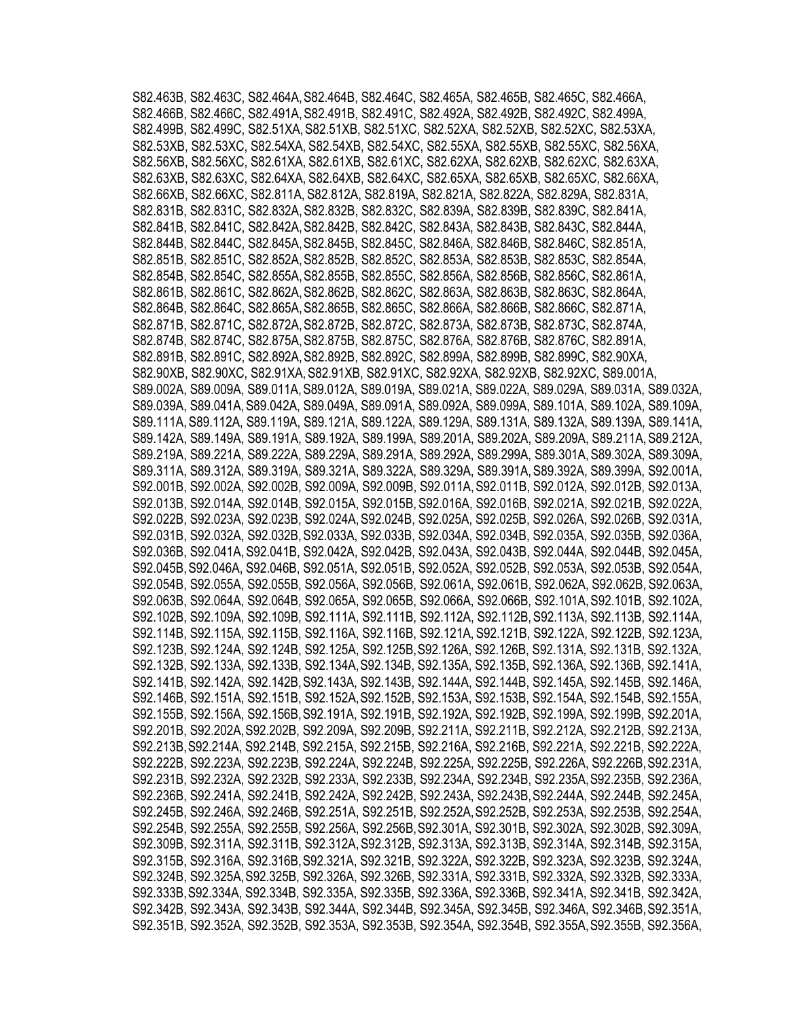S82.463B, S82.463C, S82.464A,S82.464B, S82.464C, S82.465A, S82.465B, S82.465C, S82.466A, S82.466B, S82.466C, S82.491A,S82.491B, S82.491C, S82.492A, S82.492B, S82.492C, S82.499A, S82.499B, S82.499C, S82.51XA,S82.51XB, S82.51XC, S82.52XA, S82.52XB, S82.52XC, S82.53XA, S82.53XB, S82.53XC, S82.54XA, S82.54XB, S82.54XC, S82.55XA, S82.55XB, S82.55XC, S82.56XA, S82.56XB, S82.56XC, S82.61XA, S82.61XB, S82.61XC, S82.62XA, S82.62XB, S82.62XC, S82.63XA, S82.63XB, S82.63XC, S82.64XA, S82.64XB, S82.64XC, S82.65XA, S82.65XB, S82.65XC, S82.66XA, S82.66XB, S82.66XC, S82.811A, S82.812A, S82.819A, S82.821A, S82.822A, S82.829A, S82.831A, S82.831B, S82.831C, S82.832A, S82.832B, S82.832C, S82.839A, S82.839B, S82.839C, S82.841A, S82.841B, S82.841C, S82.842A,S82.842B, S82.842C, S82.843A, S82.843B, S82.843C, S82.844A, S82.844B, S82.844C, S82.845A,S82.845B, S82.845C, S82.846A, S82.846B, S82.846C, S82.851A, S82.851B, S82.851C, S82.852A,S82.852B, S82.852C, S82.853A, S82.853B, S82.853C, S82.854A, S82.854B, S82.854C, S82.855A,S82.855B, S82.855C, S82.856A, S82.856B, S82.856C, S82.861A, S82.861B, S82.861C, S82.862A,S82.862B, S82.862C, S82.863A, S82.863B, S82.863C, S82.864A, S82.864B, S82.864C, S82.865A,S82.865B, S82.865C, S82.866A, S82.866B, S82.866C, S82.871A, S82.871B, S82.871C, S82.872A,S82.872B, S82.872C, S82.873A, S82.873B, S82.873C, S82.874A, S82.874B, S82.874C, S82.875A,S82.875B, S82.875C, S82.876A, S82.876B, S82.876C, S82.891A, S82.891B, S82.891C, S82.892A,S82.892B, S82.892C, S82.899A, S82.899B, S82.899C, S82.90XA, S82.90XB, S82.90XC, S82.91XA,S82.91XB, S82.91XC, S82.92XA, S82.92XB, S82.92XC, S89.001A, S89.002A, S89.009A, S89.011A,S89.012A, S89.019A, S89.021A, S89.022A, S89.029A, S89.031A, S89.032A, S89.039A, S89.041A,S89.042A, S89.049A, S89.091A, S89.092A, S89.099A, S89.101A, S89.102A, S89.109A, S89.111A, S89.112A, S89.119A, S89.121A, S89.122A, S89.129A, S89.131A, S89.132A, S89.139A, S89.141A, S89.142A, S89.149A, S89.191A, S89.192A, S89.199A, S89.201A, S89.202A, S89.209A, S89.211A,S89.212A, S89.219A, S89.221A, S89.222A, S89.229A, S89.291A, S89.292A, S89.299A, S89.301A, S89.302A, S89.309A, S89.311A, S89.312A, S89.319A, S89.321A, S89.322A, S89.329A, S89.391A,S89.392A, S89.399A, S92.001A, S92.001B, S92.002A, S92.002B, S92.009A, S92.009B, S92.011A,S92.011B, S92.012A, S92.012B, S92.013A, S92.013B, S92.014A, S92.014B, S92.015A, S92.015B,S92.016A, S92.016B, S92.021A, S92.021B, S92.022A, S92.022B, S92.023A, S92.023B, S92.024A,S92.024B, S92.025A, S92.025B, S92.026A, S92.026B, S92.031A, S92.031B, S92.032A, S92.032B,S92.033A, S92.033B, S92.034A, S92.034B, S92.035A, S92.035B, S92.036A, S92.036B, S92.041A,S92.041B, S92.042A, S92.042B, S92.043A, S92.043B, S92.044A, S92.044B, S92.045A, S92.045B,S92.046A, S92.046B, S92.051A, S92.051B, S92.052A, S92.052B, S92.053A, S92.053B, S92.054A, S92.054B, S92.055A, S92.055B, S92.056A, S92.056B, S92.061A, S92.061B, S92.062A, S92.062B, S92.063A, S92.063B, S92.064A, S92.064B, S92.065A, S92.065B, S92.066A, S92.066B, S92.101A,S92.101B, S92.102A, S92.102B, S92.109A, S92.109B, S92.111A, S92.111B, S92.112A, S92.112B,S92.113A, S92.113B, S92.114A, S92.114B, S92.115A, S92.115B, S92.116A, S92.116B, S92.121A, S92.121B, S92.122A, S92.122B, S92.123A, S92.123B, S92.124A, S92.124B, S92.125A, S92.125B,S92.126A, S92.126B, S92.131A, S92.131B, S92.132A, S92.132B, S92.133A, S92.133B, S92.134A,S92.134B, S92.135A, S92.135B, S92.136A, S92.136B, S92.141A, S92.141B, S92.142A, S92.142B,S92.143A, S92.143B, S92.144A, S92.144B, S92.145A, S92.145B, S92.146A, S92.146B, S92.151A, S92.151B, S92.152A,S92.152B, S92.153A, S92.153B, S92.154A, S92.154B, S92.155A, S92.155B, S92.156A, S92.156B,S92.191A, S92.191B, S92.192A, S92.192B, S92.199A, S92.199B, S92.201A, S92.201B, S92.202A,S92.202B, S92.209A, S92.209B, S92.211A, S92.211B, S92.212A, S92.212B, S92.213A, S92.213B,S92.214A, S92.214B, S92.215A, S92.215B, S92.216A, S92.216B, S92.221A, S92.221B, S92.222A, S92.222B, S92.223A, S92.223B, S92.224A, S92.224B, S92.225A, S92.225B, S92.226A, S92.226B,S92.231A, S92.231B, S92.232A, S92.232B, S92.233A, S92.233B, S92.234A, S92.234B, S92.235A,S92.235B, S92.236A, S92.236B, S92.241A, S92.241B, S92.242A, S92.242B, S92.243A, S92.243B,S92.244A, S92.244B, S92.245A, S92.245B, S92.246A, S92.246B, S92.251A, S92.251B, S92.252A,S92.252B, S92.253A, S92.253B, S92.254A, S92.254B, S92.255A, S92.255B, S92.256A, S92.256B,S92.301A, S92.301B, S92.302A, S92.302B, S92.309A, S92.309B, S92.311A, S92.311B, S92.312A,S92.312B, S92.313A, S92.313B, S92.314A, S92.314B, S92.315A, S92.315B, S92.316A, S92.316B,S92.321A, S92.321B, S92.322A, S92.322B, S92.323A, S92.323B, S92.324A, S92.324B, S92.325A,S92.325B, S92.326A, S92.326B, S92.331A, S92.331B, S92.332A, S92.332B, S92.333A, S92.333B,S92.334A, S92.334B, S92.335A, S92.335B, S92.336A, S92.336B, S92.341A, S92.341B, S92.342A, S92.342B, S92.343A, S92.343B, S92.344A, S92.344B, S92.345A, S92.345B, S92.346A, S92.346B,S92.351A, S92.351B, S92.352A, S92.352B, S92.353A, S92.353B, S92.354A, S92.354B, S92.355A,S92.355B, S92.356A,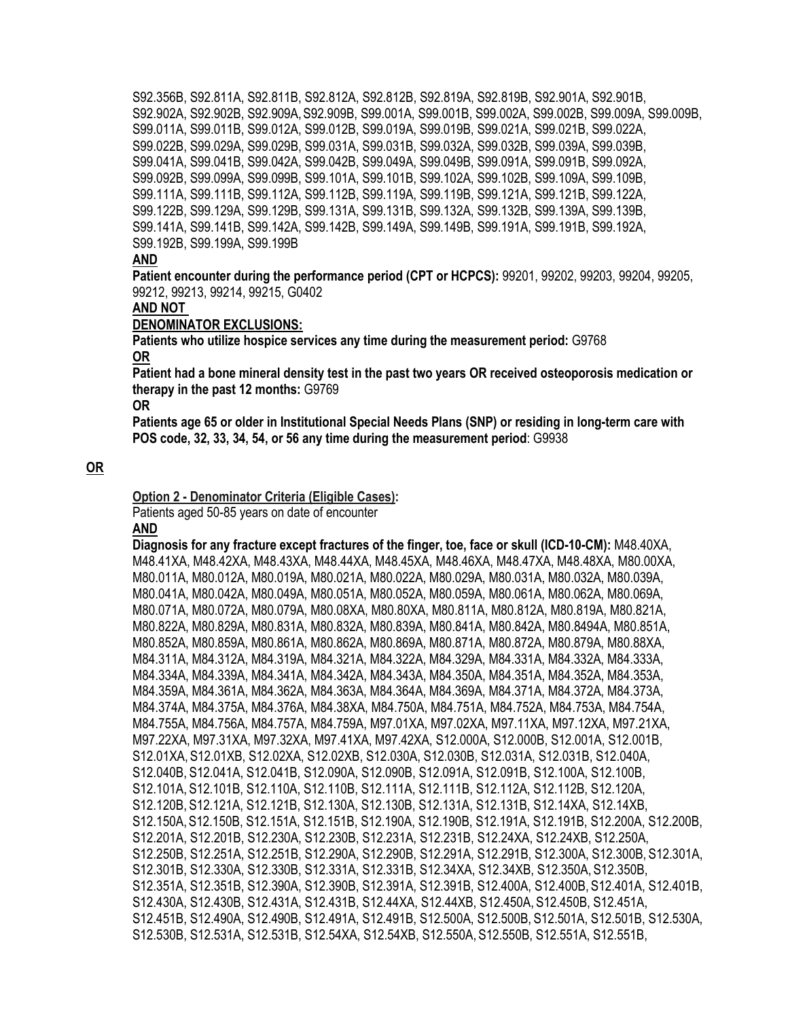S92.356B, S92.811A, S92.811B, S92.812A, S92.812B, S92.819A, S92.819B, S92.901A, S92.901B, S92.902A, S92.902B, S92.909A,S92.909B, S99.001A, S99.001B, S99.002A, S99.002B, S99.009A, S99.009B, S99.011A, S99.011B, S99.012A, S99.012B, S99.019A, S99.019B, S99.021A, S99.021B, S99.022A, S99.022B, S99.029A, S99.029B, S99.031A, S99.031B, S99.032A, S99.032B, S99.039A, S99.039B, S99.041A, S99.041B, S99.042A, S99.042B, S99.049A, S99.049B, S99.091A, S99.091B, S99.092A, S99.092B, S99.099A, S99.099B, S99.101A, S99.101B, S99.102A, S99.102B, S99.109A, S99.109B, S99.111A, S99.111B, S99.112A, S99.112B, S99.119A, S99.119B, S99.121A, S99.121B, S99.122A, S99.122B, S99.129A, S99.129B, S99.131A, S99.131B, S99.132A, S99.132B, S99.139A, S99.139B, S99.141A, S99.141B, S99.142A, S99.142B, S99.149A, S99.149B, S99.191A, S99.191B, S99.192A, S99.192B, S99.199A, S99.199B

#### **AND**

**Patient encounter during the performance period (CPT or HCPCS):** 99201, 99202, 99203, 99204, 99205, 99212, 99213, 99214, 99215, G0402

#### **AND NOT**

#### **DENOMINATOR EXCLUSIONS:**

**Patients who utilize hospice services any time during the measurement period:** G9768 **OR**

**Patient had a bone mineral density test in the past two years OR received osteoporosis medication or therapy in the past 12 months:** G9769

**OR**

**Patients age 65 or older in Institutional Special Needs Plans (SNP) or residing in long-term care with POS code, 32, 33, 34, 54, or 56 any time during the measurement period**: G9938

#### **OR**

#### **Option 2 - Denominator Criteria (Eligible Cases):**

Patients aged 50-85 years on date of encounter

#### **AND**

**Diagnosis for any fracture except fractures of the finger, toe, face or skull (ICD-10-CM):** M48.40XA, M48.41XA, M48.42XA, M48.43XA, M48.44XA, M48.45XA, M48.46XA, M48.47XA, M48.48XA, M80.00XA, M80.011A, M80.012A, M80.019A, M80.021A, M80.022A, M80.029A, M80.031A, M80.032A, M80.039A, M80.041A, M80.042A, M80.049A, M80.051A, M80.052A, M80.059A, M80.061A, M80.062A, M80.069A, M80.071A, M80.072A, M80.079A, M80.08XA, M80.80XA, M80.811A, M80.812A, M80.819A, M80.821A, M80.822A, M80.829A, M80.831A, M80.832A, M80.839A, M80.841A, M80.842A, M80.8494A, M80.851A, M80.852A, M80.859A, M80.861A, M80.862A, M80.869A, M80.871A, M80.872A, M80.879A, M80.88XA, M84.311A, M84.312A, M84.319A, M84.321A, M84.322A, M84.329A, M84.331A, M84.332A, M84.333A, M84.334A, M84.339A, M84.341A, M84.342A, M84.343A, M84.350A, M84.351A, M84.352A, M84.353A, M84.359A, M84.361A, M84.362A, M84.363A, M84.364A, M84.369A, M84.371A, M84.372A, M84.373A, M84.374A, M84.375A, M84.376A, M84.38XA, M84.750A, M84.751A, M84.752A, M84.753A, M84.754A, M84.755A, M84.756A, M84.757A, M84.759A, M97.01XA, M97.02XA, M97.11XA, M97.12XA, M97.21XA, M97.22XA, M97.31XA, M97.32XA, M97.41XA, M97.42XA, S12.000A, S12.000B, S12.001A, S12.001B, S12.01XA, S12.01XB, S12.02XA, S12.02XB, S12.030A, S12.030B, S12.031A, S12.031B, S12.040A, S12.040B, S12.041A, S12.041B, S12.090A, S12.090B, S12.091A, S12.091B, S12.100A, S12.100B, S12.101A, S12.101B, S12.110A, S12.110B, S12.111A, S12.111B, S12.112A, S12.112B, S12.120A, S12.120B, S12.121A, S12.121B, S12.130A, S12.130B, S12.131A, S12.131B, S12.14XA, S12.14XB, S12.150A, S12.150B, S12.151A, S12.151B, S12.190A, S12.190B, S12.191A, S12.191B, S12.200A, S12.200B, S12.201A, S12.201B, S12.230A, S12.230B, S12.231A, S12.231B, S12.24XA, S12.24XB, S12.250A, S12.250B, S12.251A, S12.251B, S12.290A, S12.290B, S12.291A, S12.291B, S12.300A, S12.300B, S12.301A, S12.301B, S12.330A, S12.330B, S12.331A, S12.331B, S12.34XA, S12.34XB, S12.350A, S12.350B, S12.351A, S12.351B, S12.390A, S12.390B, S12.391A, S12.391B, S12.400A, S12.400B, S12.401A, S12.401B, S12.430A, S12.430B, S12.431A, S12.431B, S12.44XA, S12.44XB, S12.450A, S12.450B, S12.451A, S12.451B, S12.490A, S12.490B, S12.491A, S12.491B, S12.500A, S12.500B, S12.501A, S12.501B, S12.530A, S12.530B, S12.531A, S12.531B, S12.54XA, S12.54XB, S12.550A, S12.550B, S12.551A, S12.551B,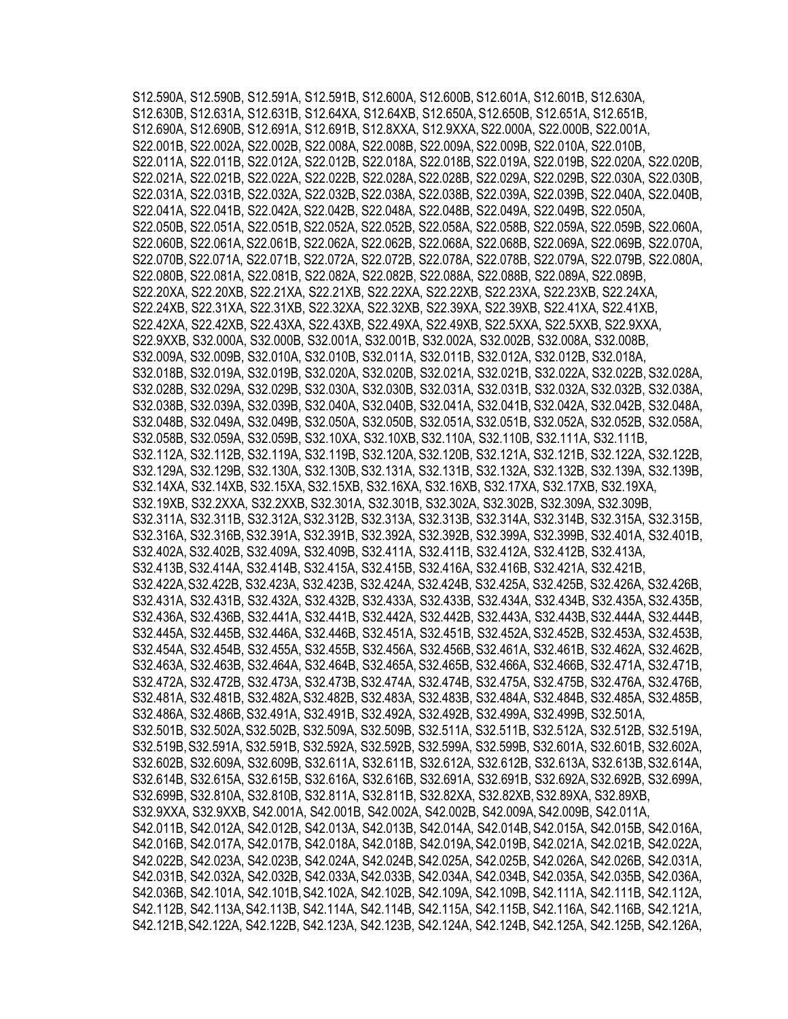S12.590A, S12.590B, S12.591A, S12.591B, S12.600A, S12.600B, S12.601A, S12.601B, S12.630A, S12.630B, S12.631A, S12.631B, S12.64XA, S12.64XB, S12.650A, S12.650B, S12.651A, S12.651B, S12.690A, S12.690B, S12.691A, S12.691B, S12.8XXA, S12.9XXA, S22.000A, S22.000B, S22.001A, S22.001B, S22.002A, S22.002B, S22.008A, S22.008B, S22.009A, S22.009B, S22.010A, S22.010B, S22.011A, S22.011B, S22.012A, S22.012B, S22.018A, S22.018B, S22.019A, S22.019B, S22.020A, S22.020B, S22.021A, S22.021B, S22.022A, S22.022B, S22.028A, S22.028B, S22.029A, S22.029B, S22.030A, S22.030B, S22.031A, S22.031B, S22.032A, S22.032B, S22.038A, S22.038B, S22.039A, S22.039B, S22.040A, S22.040B, S22.041A, S22.041B, S22.042A, S22.042B, S22.048A, S22.048B, S22.049A, S22.049B, S22.050A, S22.050B, S22.051A, S22.051B, S22.052A, S22.052B, S22.058A, S22.058B, S22.059A, S22.059B, S22.060A, S22.060B, S22.061A, S22.061B, S22.062A, S22.062B, S22.068A, S22.068B, S22.069A, S22.069B, S22.070A, S22.070B, S22.071A, S22.071B, S22.072A, S22.072B, S22.078A, S22.078B, S22.079A, S22.079B, S22.080A, S22.080B, S22.081A, S22.081B, S22.082A, S22.082B, S22.088A, S22.088B, S22.089A, S22.089B, S22.20XA, S22.20XB, S22.21XA, S22.21XB, S22.22XA, S22.22XB, S22.23XA, S22.23XB, S22.24XA, S22.24XB, S22.31XA, S22.31XB, S22.32XA, S22.32XB, S22.39XA, S22.39XB, S22.41XA, S22.41XB, S22.42XA, S22.42XB, S22.43XA, S22.43XB, S22.49XA, S22.49XB, S22.5XXA, S22.5XXB, S22.9XXA, S22.9XXB, S32.000A, S32.000B, S32.001A, S32.001B, S32.002A, S32.002B, S32.008A, S32.008B, S32.009A, S32.009B, S32.010A, S32.010B, S32.011A, S32.011B, S32.012A, S32.012B, S32.018A, S32.018B, S32.019A, S32.019B, S32.020A, S32.020B, S32.021A, S32.021B, S32.022A, S32.022B, S32.028A, S32.028B, S32.029A, S32.029B, S32.030A, S32.030B, S32.031A, S32.031B, S32.032A, S32.032B, S32.038A, S32.038B, S32.039A, S32.039B, S32.040A, S32.040B, S32.041A, S32.041B, S32.042A, S32.042B, S32.048A, S32.048B, S32.049A, S32.049B, S32.050A, S32.050B, S32.051A, S32.051B, S32.052A, S32.052B, S32.058A, S32.058B, S32.059A, S32.059B, S32.10XA, S32.10XB, S32.110A, S32.110B, S32.111A, S32.111B, S32.112A, S32.112B, S32.119A, S32.119B, S32.120A, S32.120B, S32.121A, S32.121B, S32.122A, S32.122B, S32.129A, S32.129B, S32.130A, S32.130B, S32.131A, S32.131B, S32.132A, S32.132B, S32.139A, S32.139B, S32.14XA, S32.14XB, S32.15XA, S32.15XB, S32.16XA, S32.16XB, S32.17XA, S32.17XB, S32.19XA, S32.19XB, S32.2XXA, S32.2XXB, S32.301A, S32.301B, S32.302A, S32.302B, S32.309A, S32.309B, S32.311A, S32.311B, S32.312A, S32.312B, S32.313A, S32.313B, S32.314A, S32.314B, S32.315A, S32.315B, S32.316A, S32.316B, S32.391A, S32.391B, S32.392A, S32.392B, S32.399A, S32.399B, S32.401A, S32.401B, S32.402A, S32.402B, S32.409A, S32.409B, S32.411A, S32.411B, S32.412A, S32.412B, S32.413A, S32.413B, S32.414A, S32.414B, S32.415A, S32.415B, S32.416A, S32.416B, S32.421A, S32.421B, S32.422A,S32.422B, S32.423A, S32.423B, S32.424A, S32.424B, S32.425A, S32.425B, S32.426A, S32.426B, S32.431A, S32.431B, S32.432A, S32.432B, S32.433A, S32.433B, S32.434A, S32.434B, S32.435A, S32.435B, S32.436A, S32.436B, S32.441A, S32.441B, S32.442A, S32.442B, S32.443A, S32.443B, S32.444A, S32.444B, S32.445A, S32.445B, S32.446A, S32.446B, S32.451A, S32.451B, S32.452A, S32.452B, S32.453A, S32.453B, S32.454A, S32.454B, S32.455A, S32.455B, S32.456A, S32.456B,S32.461A, S32.461B, S32.462A, S32.462B, S32.463A, S32.463B, S32.464A, S32.464B, S32.465A, S32.465B, S32.466A, S32.466B, S32.471A, S32.471B, S32.472A, S32.472B, S32.473A, S32.473B,S32.474A, S32.474B, S32.475A, S32.475B, S32.476A, S32.476B, S32.481A, S32.481B, S32.482A,S32.482B, S32.483A, S32.483B, S32.484A, S32.484B, S32.485A, S32.485B, S32.486A, S32.486B, S32.491A, S32.491B, S32.492A, S32.492B, S32.499A, S32.499B, S32.501A, S32.501B, S32.502A,S32.502B, S32.509A, S32.509B, S32.511A, S32.511B, S32.512A, S32.512B, S32.519A, S32.519B,S32.591A, S32.591B, S32.592A, S32.592B, S32.599A, S32.599B, S32.601A, S32.601B, S32.602A, S32.602B, S32.609A, S32.609B, S32.611A, S32.611B, S32.612A, S32.612B, S32.613A, S32.613B,S32.614A, S32.614B, S32.615A, S32.615B, S32.616A, S32.616B, S32.691A, S32.691B, S32.692A,S32.692B, S32.699A, S32.699B, S32.810A, S32.810B, S32.811A, S32.811B, S32.82XA, S32.82XB, S32.89XA, S32.89XB, S32.9XXA, S32.9XXB, S42.001A, S42.001B, S42.002A, S42.002B, S42.009A,S42.009B, S42.011A, S42.011B, S42.012A, S42.012B, S42.013A, S42.013B, S42.014A, S42.014B,S42.015A, S42.015B, S42.016A, S42.016B, S42.017A, S42.017B, S42.018A, S42.018B, S42.019A,S42.019B, S42.021A, S42.021B, S42.022A, S42.022B, S42.023A, S42.023B, S42.024A, S42.024B,S42.025A, S42.025B, S42.026A, S42.026B, S42.031A, S42.031B, S42.032A, S42.032B, S42.033A,S42.033B, S42.034A, S42.034B, S42.035A, S42.035B, S42.036A, S42.036B, S42.101A, S42.101B,S42.102A, S42.102B, S42.109A, S42.109B, S42.111A, S42.111B, S42.112A, S42.112B, S42.113A,S42.113B, S42.114A, S42.114B, S42.115A, S42.115B, S42.116A, S42.116B, S42.121A, S42.121B,S42.122A, S42.122B, S42.123A, S42.123B, S42.124A, S42.124B, S42.125A, S42.125B, S42.126A,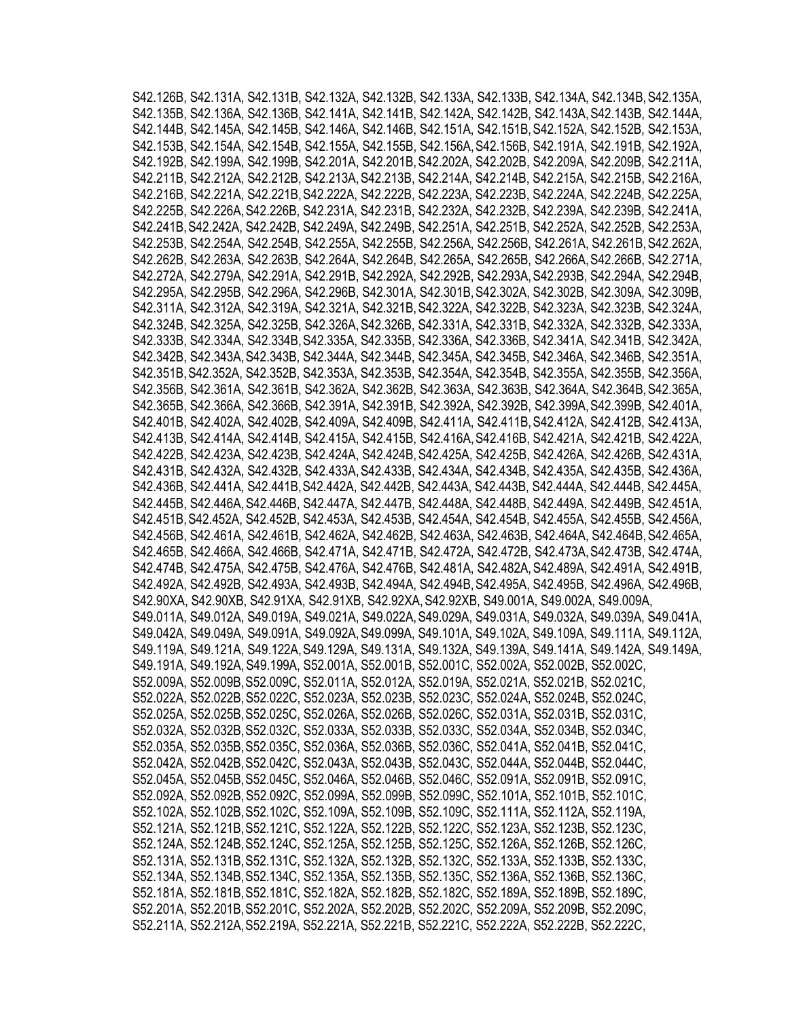S42.126B, S42.131A, S42.131B, S42.132A, S42.132B, S42.133A, S42.133B, S42.134A, S42.134B, S42.135A, S42.135B, S42.136A, S42.136B, S42.141A, S42.141B, S42.142A, S42.142B, S42.143A, S42.143B, S42.144A, S42.144B, S42.145A, S42.145B, S42.146A, S42.146B, S42.151A, S42.151B,S42.152A, S42.152B, S42.153A, S42.153B, S42.154A, S42.154B, S42.155A, S42.155B, S42.156A,S42.156B, S42.191A, S42.191B, S42.192A, S42.192B, S42.199A, S42.199B, S42.201A, S42.201B,S42.202A, S42.202B, S42.209A, S42.209B, S42.211A, S42.211B, S42.212A, S42.212B, S42.213A,S42.213B, S42.214A, S42.214B, S42.215A, S42.215B, S42.216A, S42.216B, S42.221A, S42.221B,S42.222A, S42.222B, S42.223A, S42.223B, S42.224A, S42.224B, S42.225A, S42.225B, S42.226A,S42.226B, S42.231A, S42.231B, S42.232A, S42.232B, S42.239A, S42.239B, S42.241A, S42.241B,S42.242A, S42.242B, S42.249A, S42.249B, S42.251A, S42.251B, S42.252A, S42.252B, S42.253A, S42.253B, S42.254A, S42.254B, S42.255A, S42.255B, S42.256A, S42.256B, S42.261A, S42.261B, S42.262A, S42.262B, S42.263A, S42.263B, S42.264A, S42.264B, S42.265A, S42.265B, S42.266A,S42.266B, S42.271A, S42.272A, S42.279A, S42.291A, S42.291B, S42.292A, S42.292B, S42.293A,S42.293B, S42.294A, S42.294B, S42.295A, S42.295B, S42.296A, S42.296B, S42.301A, S42.301B,S42.302A, S42.302B, S42.309A, S42.309B, S42.311A, S42.312A, S42.319A, S42.321A, S42.321B,S42.322A, S42.322B, S42.323A, S42.323B, S42.324A, S42.324B, S42.325A, S42.325B, S42.326A,S42.326B, S42.331A, S42.331B, S42.332A, S42.332B, S42.333A, S42.333B, S42.334A, S42.334B, S42.335A, S42.335B, S42.336A, S42.336B, S42.341A, S42.341B, S42.342A, S42.342B, S42.343A,S42.343B, S42.344A, S42.344B, S42.345A, S42.345B, S42.346A, S42.346B, S42.351A, S42.351B,S42.352A, S42.352B, S42.353A, S42.353B, S42.354A, S42.354B, S42.355A, S42.355B, S42.356A, S42.356B, S42.361A, S42.361B, S42.362A, S42.362B, S42.363A, S42.363B, S42.364A, S42.364B, S42.365A, S42.365B, S42.366A, S42.366B, S42.391A, S42.391B, S42.392A, S42.392B, S42.399A,S42.399B, S42.401A, S42.401B, S42.402A, S42.402B, S42.409A, S42.409B, S42.411A, S42.411B,S42.412A, S42.412B, S42.413A, S42.413B, S42.414A, S42.414B, S42.415A, S42.415B, S42.416A,S42.416B, S42.421A, S42.421B, S42.422A, S42.422B, S42.423A, S42.423B, S42.424A, S42.424B,S42.425A, S42.425B, S42.426A, S42.426B, S42.431A, S42.431B, S42.432A, S42.432B, S42.433A,S42.433B, S42.434A, S42.434B, S42.435A, S42.435B, S42.436A, S42.436B, S42.441A, S42.441B,S42.442A, S42.442B, S42.443A, S42.443B, S42.444A, S42.444B, S42.445A, S42.445B, S42.446A,S42.446B, S42.447A, S42.447B, S42.448A, S42.448B, S42.449A, S42.449B, S42.451A, S42.451B,S42.452A, S42.452B, S42.453A, S42.453B, S42.454A, S42.454B, S42.455A, S42.455B, S42.456A, S42.456B, S42.461A, S42.461B, S42.462A, S42.462B, S42.463A, S42.463B, S42.464A, S42.464B, S42.465A, S42.465B, S42.466A, S42.466B, S42.471A, S42.471B, S42.472A, S42.472B, S42.473A,S42.473B, S42.474A, S42.474B, S42.475A, S42.475B, S42.476A, S42.476B, S42.481A, S42.482A,S42.489A, S42.491A, S42.491B, S42.492A, S42.492B, S42.493A, S42.493B, S42.494A, S42.494B,S42.495A, S42.495B, S42.496A, S42.496B, S42.90XA, S42.90XB, S42.91XA, S42.91XB, S42.92XA,S42.92XB, S49.001A, S49.002A, S49.009A, S49.011A, S49.012A, S49.019A, S49.021A, S49.022A,S49.029A, S49.031A, S49.032A, S49.039A, S49.041A, S49.042A, S49.049A, S49.091A, S49.092A,S49.099A, S49.101A, S49.102A, S49.109A, S49.111A, S49.112A, S49.119A, S49.121A, S49.122A,S49.129A, S49.131A, S49.132A, S49.139A, S49.141A, S49.142A, S49.149A, S49.191A, S49.192A,S49.199A, S52.001A, S52.001B, S52.001C, S52.002A, S52.002B, S52.002C, S52.009A, S52.009B,S52.009C, S52.011A, S52.012A, S52.019A, S52.021A, S52.021B, S52.021C, S52.022A, S52.022B,S52.022C, S52.023A, S52.023B, S52.023C, S52.024A, S52.024B, S52.024C, S52.025A, S52.025B,S52.025C, S52.026A, S52.026B, S52.026C, S52.031A, S52.031B, S52.031C, S52.032A, S52.032B,S52.032C, S52.033A, S52.033B, S52.033C, S52.034A, S52.034B, S52.034C, S52.035A, S52.035B,S52.035C, S52.036A, S52.036B, S52.036C, S52.041A, S52.041B, S52.041C, S52.042A, S52.042B,S52.042C, S52.043A, S52.043B, S52.043C, S52.044A, S52.044B, S52.044C, S52.045A, S52.045B,S52.045C, S52.046A, S52.046B, S52.046C, S52.091A, S52.091B, S52.091C, S52.092A, S52.092B,S52.092C, S52.099A, S52.099B, S52.099C, S52.101A, S52.101B, S52.101C, S52.102A, S52.102B,S52.102C, S52.109A, S52.109B, S52.109C, S52.111A, S52.112A, S52.119A, S52.121A, S52.121B,S52.121C, S52.122A, S52.122B, S52.122C, S52.123A, S52.123B, S52.123C, S52.124A, S52.124B,S52.124C, S52.125A, S52.125B, S52.125C, S52.126A, S52.126B, S52.126C, S52.131A, S52.131B,S52.131C, S52.132A, S52.132B, S52.132C, S52.133A, S52.133B, S52.133C, S52.134A, S52.134B,S52.134C, S52.135A, S52.135B, S52.135C, S52.136A, S52.136B, S52.136C, S52.181A, S52.181B,S52.181C, S52.182A, S52.182B, S52.182C, S52.189A, S52.189B, S52.189C, S52.201A, S52.201B,S52.201C, S52.202A, S52.202B, S52.202C, S52.209A, S52.209B, S52.209C, S52.211A, S52.212A,S52.219A, S52.221A, S52.221B, S52.221C, S52.222A, S52.222B, S52.222C,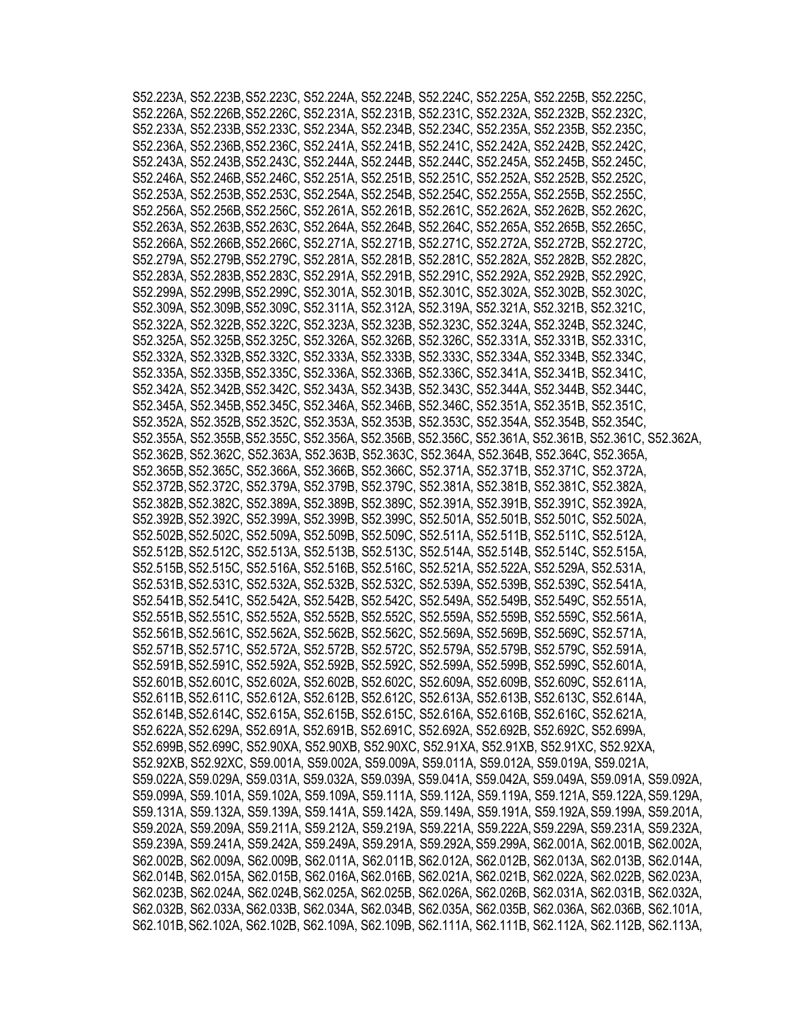|  |  |                                                                                           |  | S52.223A, S52.223B, S52.223C, S52.224A, S52.224B, S52.224C, S52.225A, S52.225B, S52.225C,                                                                                              |
|--|--|-------------------------------------------------------------------------------------------|--|----------------------------------------------------------------------------------------------------------------------------------------------------------------------------------------|
|  |  |                                                                                           |  | S52.226A, S52.226B, S52.226C, S52.231A, S52.231B, S52.231C, S52.232A, S52.232B, S52.232C,                                                                                              |
|  |  | S52.233A, S52.233B, S52.233C, S52.234A, S52.234B, S52.234C, S52.235A, S52.235B, S52.235C, |  |                                                                                                                                                                                        |
|  |  | S52.236A, S52.236B, S52.236C, S52.241A, S52.241B, S52.241C, S52.242A, S52.242B, S52.242C, |  |                                                                                                                                                                                        |
|  |  |                                                                                           |  | S52.243A, S52.243B, S52.243C, S52.244A, S52.244B, S52.244C, S52.245A, S52.245B, S52.245C,                                                                                              |
|  |  |                                                                                           |  | S52.246A, S52.246B, S52.246C, S52.251A, S52.251B, S52.251C, S52.252A, S52.252B, S52.252C,                                                                                              |
|  |  |                                                                                           |  | S52.253A, S52.253B, S52.253C, S52.254A, S52.254B, S52.254C, S52.255A, S52.255B, S52.255C,                                                                                              |
|  |  |                                                                                           |  | S52.256A, S52.256B, S52.256C, S52.261A, S52.261B, S52.261C, S52.262A, S52.262B, S52.262C,                                                                                              |
|  |  |                                                                                           |  | S52.263A, S52.263B, S52.263C, S52.264A, S52.264B, S52.264C, S52.265A, S52.265B, S52.265C,                                                                                              |
|  |  |                                                                                           |  | S52.266A, S52.266B, S52.266C, S52.271A, S52.271B, S52.271C, S52.272A, S52.272B, S52.272C,                                                                                              |
|  |  | S52.279A, S52.279B, S52.279C, S52.281A, S52.281B, S52.281C, S52.282A, S52.282B, S52.282C, |  |                                                                                                                                                                                        |
|  |  | S52.283A, S52.283B, S52.283C, S52.291A, S52.291B, S52.291C, S52.292A, S52.292B, S52.292C, |  |                                                                                                                                                                                        |
|  |  | S52.299A, S52.299B, S52.299C, S52.301A, S52.301B, S52.301C, S52.302A, S52.302B, S52.302C, |  |                                                                                                                                                                                        |
|  |  | S52.309A, S52.309B, S52.309C, S52.311A, S52.312A, S52.319A, S52.321A, S52.321B, S52.321C, |  |                                                                                                                                                                                        |
|  |  |                                                                                           |  | S52.322A, S52.322B, S52.322C, S52.323A, S52.323B, S52.323C, S52.324A, S52.324B, S52.324C,                                                                                              |
|  |  |                                                                                           |  | S52.325A, S52.325B, S52.325C, S52.326A, S52.326B, S52.326C, S52.331A, S52.331B, S52.331C,                                                                                              |
|  |  |                                                                                           |  | S52.332A, S52.332B, S52.332C, S52.333A, S52.333B, S52.333C, S52.334A, S52.334B, S52.334C,                                                                                              |
|  |  |                                                                                           |  | S52.335A, S52.335B, S52.335C, S52.336A, S52.336B, S52.336C, S52.341A, S52.341B, S52.341C,                                                                                              |
|  |  |                                                                                           |  | S52.342A, S52.342B, S52.342C, S52.343A, S52.343B, S52.343C, S52.344A, S52.344B, S52.344C,                                                                                              |
|  |  |                                                                                           |  | S52.345A, S52.345B, S52.345C, S52.346A, S52.346B, S52.346C, S52.351A, S52.351B, S52.351C,                                                                                              |
|  |  |                                                                                           |  | S52.352A, S52.352B, S52.352C, S52.353A, S52.353B, S52.353C, S52.354A, S52.354B, S52.354C,                                                                                              |
|  |  |                                                                                           |  | S52.355A, S52.355B, S52.355C, S52.356A, S52.356B, S52.356C, S52.361A, S52.361B, S52.361C, S52.362A,                                                                                    |
|  |  |                                                                                           |  | S52.362B, S52.362C, S52.363A, S52.363B, S52.363C, S52.364A, S52.364B, S52.364C, S52.365A,                                                                                              |
|  |  |                                                                                           |  | S52.365B, S52.365C, S52.366A, S52.366B, S52.366C, S52.371A, S52.371B, S52.371C, S52.372A,                                                                                              |
|  |  |                                                                                           |  | S52.372B, S52.372C, S52.379A, S52.379B, S52.379C, S52.381A, S52.381B, S52.381C, S52.382A,                                                                                              |
|  |  |                                                                                           |  | S52.382B, S52.382C, S52.389A, S52.389B, S52.389C, S52.391A, S52.391B, S52.391C, S52.392A,                                                                                              |
|  |  |                                                                                           |  | S52.392B, S52.392C, S52.399A, S52.399B, S52.399C, S52.501A, S52.501B, S52.501C, S52.502A,                                                                                              |
|  |  |                                                                                           |  | S52.502B, S52.502C, S52.509A, S52.509B, S52.509C, S52.511A, S52.511B, S52.511C, S52.512A,                                                                                              |
|  |  |                                                                                           |  | S52.512B, S52.512C, S52.513A, S52.513B, S52.513C, S52.514A, S52.514B, S52.514C, S52.515A,                                                                                              |
|  |  |                                                                                           |  | S52.515B, S52.515C, S52.516A, S52.516B, S52.516C, S52.521A, S52.522A, S52.529A, S52.531A,                                                                                              |
|  |  |                                                                                           |  | S52.531B, S52.531C, S52.532A, S52.532B, S52.532C, S52.539A, S52.539B, S52.539C, S52.541A,                                                                                              |
|  |  |                                                                                           |  |                                                                                                                                                                                        |
|  |  |                                                                                           |  | S52.541B, S52.541C, S52.542A, S52.542B, S52.542C, S52.549A, S52.549B, S52.549C, S52.551A,<br>S52.551B, S52.551C, S52.552A, S52.552B, S52.552C, S52.559A, S52.559B, S52.559C, S52.561A, |
|  |  |                                                                                           |  |                                                                                                                                                                                        |
|  |  |                                                                                           |  | S52.561B, S52.561C, S52.562A, S52.562B, S52.562C, S52.569A, S52.569B, S52.569C, S52.571A,                                                                                              |
|  |  |                                                                                           |  | S52.571B, S52.571C, S52.572A, S52.572B, S52.572C, S52.579A, S52.579B, S52.579C, S52.591A,                                                                                              |
|  |  | S52.591B, S52.591C, S52.592A, S52.592B, S52.592C, S52.599A, S52.599B, S52.599C, S52.601A  |  |                                                                                                                                                                                        |
|  |  |                                                                                           |  | S52.601B, S52.601C, S52.602A, S52.602B, S52.602C, S52.609A, S52.609B, S52.609C, S52.611A,                                                                                              |
|  |  |                                                                                           |  | S52.611B, S52.611C, S52.612A, S52.612B, S52.612C, S52.613A, S52.613B, S52.613C, S52.614A,                                                                                              |
|  |  |                                                                                           |  | S52.614B, S52.614C, S52.615A, S52.615B, S52.615C, S52.616A, S52.616B, S52.616C, S52.621A,                                                                                              |
|  |  |                                                                                           |  | S52.622A, S52.629A, S52.691A, S52.691B, S52.691C, S52.692A, S52.692B, S52.692C, S52.699A,                                                                                              |
|  |  |                                                                                           |  | S52.699B, S52.699C, S52.90XA, S52.90XB, S52.90XC, S52.91XA, S52.91XB, S52.91XC, S52.92XA,                                                                                              |
|  |  |                                                                                           |  | S52.92XB, S52.92XC, S59.001A, S59.002A, S59.009A, S59.011A, S59.012A, S59.019A, S59.021A,                                                                                              |
|  |  |                                                                                           |  | S59.022A, S59.029A, S59.031A, S59.032A, S59.039A, S59.041A, S59.042A, S59.049A, S59.091A, S59.092A,                                                                                    |
|  |  |                                                                                           |  | S59.099A, S59.101A, S59.102A, S59.109A, S59.111A, S59.112A, S59.119A, S59.121A, S59.122A, S59.129A,                                                                                    |
|  |  |                                                                                           |  | S59.131A, S59.132A, S59.139A, S59.141A, S59.142A, S59.149A, S59.191A, S59.192A, S59.199A, S59.201A,                                                                                    |
|  |  |                                                                                           |  | S59.202A, S59.209A, S59.211A, S59.212A, S59.219A, S59.221A, S59.222A, S59.229A, S59.231A, S59.232A,                                                                                    |
|  |  |                                                                                           |  | S59.239A, S59.241A, S59.242A, S59.249A, S59.291A, S59.292A, S59.299A, S62.001A, S62.001B, S62.002A,                                                                                    |
|  |  |                                                                                           |  | S62.002B, S62.009A, S62.009B, S62.011A, S62.011B, S62.012A, S62.012B, S62.013A, S62.013B, S62.014A,                                                                                    |
|  |  |                                                                                           |  | S62.014B, S62.015A, S62.015B, S62.016A, S62.016B, S62.021A, S62.021B, S62.022A, S62.022B, S62.023A,                                                                                    |
|  |  |                                                                                           |  | S62.023B, S62.024A, S62.024B, S62.025A, S62.025B, S62.026A, S62.026B, S62.031A, S62.031B, S62.032A,                                                                                    |
|  |  |                                                                                           |  | S62.032B, S62.033A, S62.033B, S62.034A, S62.034B, S62.035A, S62.035B, S62.036A, S62.036B, S62.101A,                                                                                    |
|  |  |                                                                                           |  | S62.101B, S62.102A, S62.102B, S62.109A, S62.109B, S62.111A, S62.111B, S62.112A, S62.112B, S62.113A,                                                                                    |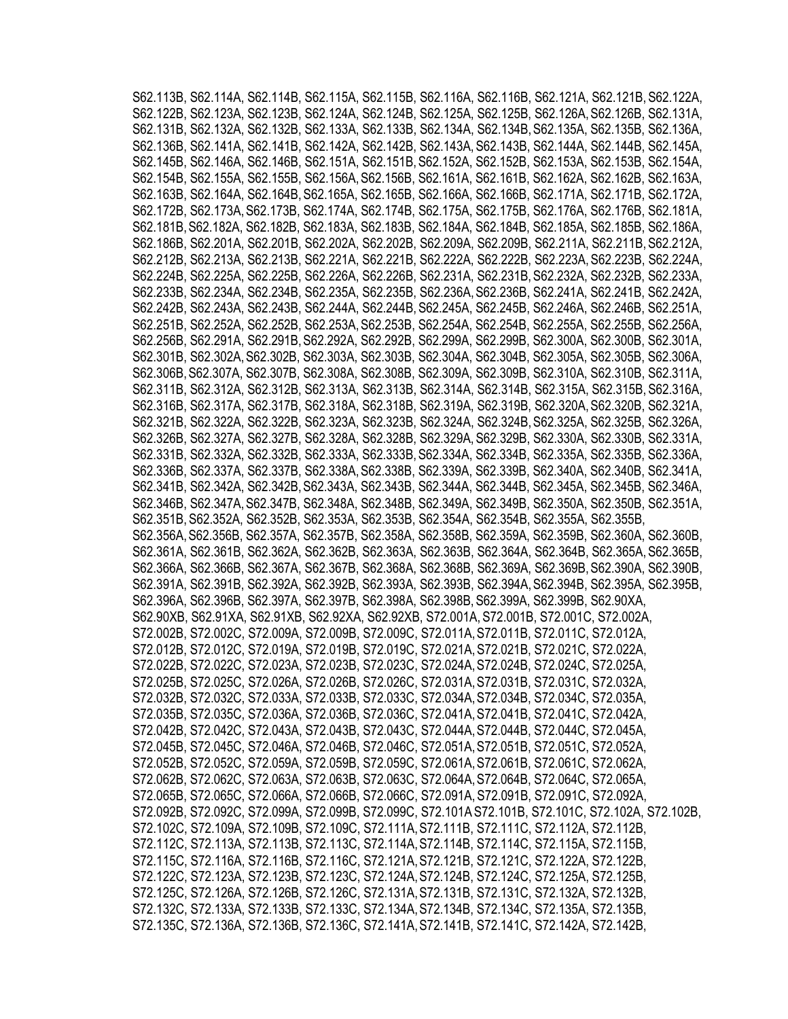S62.113B, S62.114A, S62.114B, S62.115A, S62.115B, S62.116A, S62.116B, S62.121A, S62.121B, S62.122A, S62.122B, S62.123A, S62.123B, S62.124A, S62.124B, S62.125A, S62.125B, S62.126A,S62.126B, S62.131A, S62.131B, S62.132A, S62.132B, S62.133A, S62.133B, S62.134A, S62.134B,S62.135A, S62.135B, S62.136A, S62.136B, S62.141A, S62.141B, S62.142A, S62.142B, S62.143A,S62.143B, S62.144A, S62.144B, S62.145A, S62.145B, S62.146A, S62.146B, S62.151A, S62.151B,S62.152A, S62.152B, S62.153A, S62.153B, S62.154A, S62.154B, S62.155A, S62.155B, S62.156A,S62.156B, S62.161A, S62.161B, S62.162A, S62.162B, S62.163A, S62.163B, S62.164A, S62.164B,S62.165A, S62.165B, S62.166A, S62.166B, S62.171A, S62.171B, S62.172A, S62.172B, S62.173A,S62.173B, S62.174A, S62.174B, S62.175A, S62.175B, S62.176A, S62.176B, S62.181A, S62.181B,S62.182A, S62.182B, S62.183A, S62.183B, S62.184A, S62.184B, S62.185A, S62.185B, S62.186A, S62.186B, S62.201A, S62.201B, S62.202A, S62.202B, S62.209A, S62.209B, S62.211A, S62.211B,S62.212A, S62.212B, S62.213A, S62.213B, S62.221A, S62.221B, S62.222A, S62.222B, S62.223A, S62.223B, S62.224A, S62.224B, S62.225A, S62.225B, S62.226A, S62.226B, S62.231A, S62.231B,S62.232A, S62.232B, S62.233A, S62.233B, S62.234A, S62.234B, S62.235A, S62.235B, S62.236A,S62.236B, S62.241A, S62.241B, S62.242A, S62.242B, S62.243A, S62.243B, S62.244A, S62.244B,S62.245A, S62.245B, S62.246A, S62.246B, S62.251A, S62.251B, S62.252A, S62.252B, S62.253A,S62.253B, S62.254A, S62.254B, S62.255A, S62.255B, S62.256A, S62.256B, S62.291A, S62.291B,S62.292A, S62.292B, S62.299A, S62.299B, S62.300A, S62.300B, S62.301A, S62.301B, S62.302A,S62.302B, S62.303A, S62.303B, S62.304A, S62.304B, S62.305A, S62.305B, S62.306A, S62.306B,S62.307A, S62.307B, S62.308A, S62.308B, S62.309A, S62.309B, S62.310A, S62.310B, S62.311A, S62.311B, S62.312A, S62.312B, S62.313A, S62.313B, S62.314A, S62.314B, S62.315A, S62.315B, S62.316A, S62.316B, S62.317A, S62.317B, S62.318A, S62.318B, S62.319A, S62.319B, S62.320A,S62.320B, S62.321A, S62.321B, S62.322A, S62.322B, S62.323A, S62.323B, S62.324A, S62.324B,S62.325A, S62.325B, S62.326A, S62.326B, S62.327A, S62.327B, S62.328A, S62.328B, S62.329A,S62.329B, S62.330A, S62.330B, S62.331A, S62.331B, S62.332A, S62.332B, S62.333A, S62.333B,S62.334A, S62.334B, S62.335A, S62.335B, S62.336A, S62.336B, S62.337A, S62.337B, S62.338A,S62.338B, S62.339A, S62.339B, S62.340A, S62.340B, S62.341A, S62.341B, S62.342A, S62.342B, S62.343A, S62.343B, S62.344A, S62.344B, S62.345A, S62.345B, S62.346A, S62.346B, S62.347A,S62.347B, S62.348A, S62.348B, S62.349A, S62.349B, S62.350A, S62.350B, S62.351A, S62.351B, S62.352A, S62.352B, S62.353A, S62.353B, S62.354A, S62.354B, S62.355A, S62.355B, S62.356A,S62.356B, S62.357A, S62.357B, S62.358A, S62.358B, S62.359A, S62.359B, S62.360A, S62.360B, S62.361A, S62.361B, S62.362A, S62.362B, S62.363A, S62.363B, S62.364A, S62.364B, S62.365A, S62.365B, S62.366A, S62.366B, S62.367A, S62.367B, S62.368A, S62.368B, S62.369A, S62.369B,S62.390A, S62.390B, S62.391A, S62.391B, S62.392A, S62.392B, S62.393A, S62.393B, S62.394A,S62.394B, S62.395A, S62.395B, S62.396A, S62.396B, S62.397A, S62.397B, S62.398A, S62.398B,S62.399A, S62.399B, S62.90XA, S62.90XB, S62.91XA, S62.91XB, S62.92XA, S62.92XB, S72.001A, S72.001B, S72.001C, S72.002A, S72.002B, S72.002C, S72.009A, S72.009B, S72.009C, S72.011A,S72.011B, S72.011C, S72.012A, S72.012B, S72.012C, S72.019A, S72.019B, S72.019C, S72.021A,S72.021B, S72.021C, S72.022A, S72.022B, S72.022C, S72.023A, S72.023B, S72.023C, S72.024A,S72.024B, S72.024C, S72.025A, S72.025B, S72.025C, S72.026A, S72.026B, S72.026C, S72.031A,S72.031B, S72.031C, S72.032A, S72.032B, S72.032C, S72.033A, S72.033B, S72.033C, S72.034A,S72.034B, S72.034C, S72.035A, S72.035B, S72.035C, S72.036A, S72.036B, S72.036C, S72.041A,S72.041B, S72.041C, S72.042A, S72.042B, S72.042C, S72.043A, S72.043B, S72.043C, S72.044A,S72.044B, S72.044C, S72.045A, S72.045B, S72.045C, S72.046A, S72.046B, S72.046C, S72.051A,S72.051B, S72.051C, S72.052A, S72.052B, S72.052C, S72.059A, S72.059B, S72.059C, S72.061A,S72.061B, S72.061C, S72.062A, S72.062B, S72.062C, S72.063A, S72.063B, S72.063C, S72.064A,S72.064B, S72.064C, S72.065A, S72.065B, S72.065C, S72.066A, S72.066B, S72.066C, S72.091A,S72.091B, S72.091C, S72.092A, S72.092B, S72.092C, S72.099A, S72.099B, S72.099C, S72.101A S72.101B, S72.101C, S72.102A, S72.102B, S72.102C, S72.109A, S72.109B, S72.109C, S72.111A,S72.111B, S72.111C, S72.112A, S72.112B, S72.112C, S72.113A, S72.113B, S72.113C, S72.114A,S72.114B, S72.114C, S72.115A, S72.115B, S72.115C, S72.116A, S72.116B, S72.116C, S72.121A,S72.121B, S72.121C, S72.122A, S72.122B, S72.122C, S72.123A, S72.123B, S72.123C, S72.124A,S72.124B, S72.124C, S72.125A, S72.125B, S72.125C, S72.126A, S72.126B, S72.126C, S72.131A,S72.131B, S72.131C, S72.132A, S72.132B, S72.132C, S72.133A, S72.133B, S72.133C, S72.134A,S72.134B, S72.134C, S72.135A, S72.135B, S72.135C, S72.136A, S72.136B, S72.136C, S72.141A,S72.141B, S72.141C, S72.142A, S72.142B,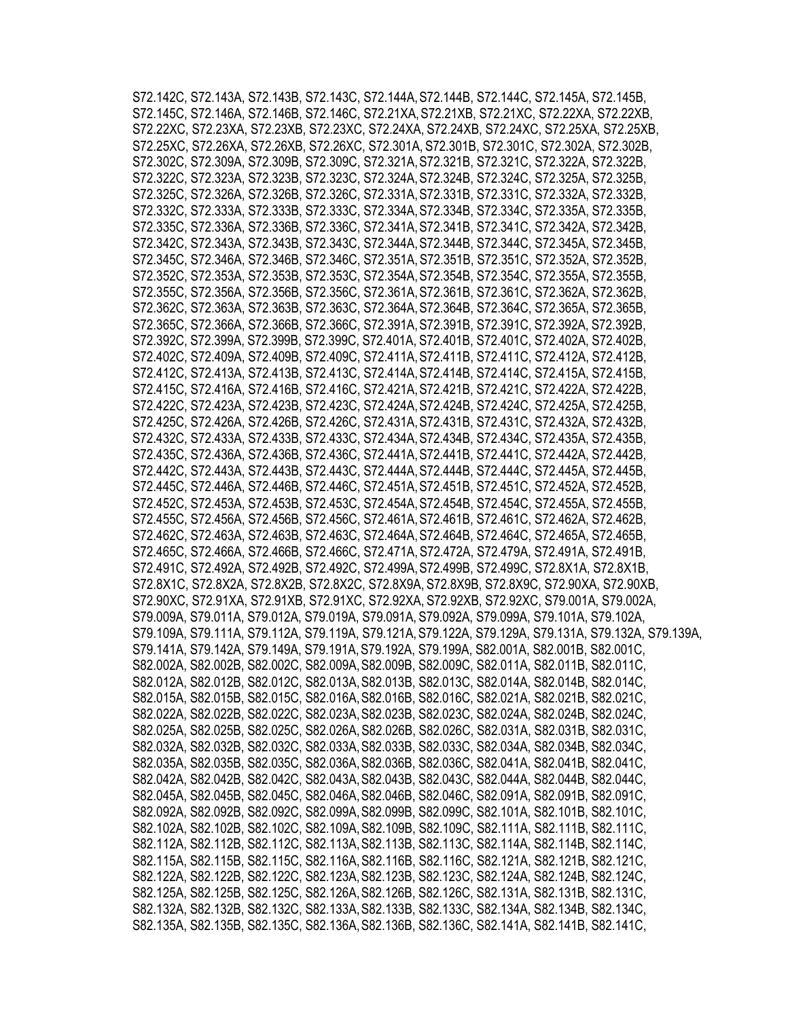S72.142C, S72.143A, S72.143B, S72.143C, S72.144A,S72.144B, S72.144C, S72.145A, S72.145B, S72.145C, S72.146A, S72.146B, S72.146C, S72.21XA,S72.21XB, S72.21XC, S72.22XA, S72.22XB, S72.22XC, S72.23XA, S72.23XB, S72.23XC, S72.24XA, S72.24XB, S72.24XC, S72.25XA, S72.25XB, S72.25XC, S72.26XA, S72.26XB, S72.26XC, S72.301A, S72.301B, S72.301C, S72.302A, S72.302B, S72.302C, S72.309A, S72.309B, S72.309C, S72.321A,S72.321B, S72.321C, S72.322A, S72.322B, S72.322C, S72.323A, S72.323B, S72.323C, S72.324A,S72.324B, S72.324C, S72.325A, S72.325B, S72.325C, S72.326A, S72.326B, S72.326C, S72.331A,S72.331B, S72.331C, S72.332A, S72.332B, S72.332C, S72.333A, S72.333B, S72.333C, S72.334A,S72.334B, S72.334C, S72.335A, S72.335B, S72.335C, S72.336A, S72.336B, S72.336C, S72.341A,S72.341B, S72.341C, S72.342A, S72.342B, S72.342C, S72.343A, S72.343B, S72.343C, S72.344A,S72.344B, S72.344C, S72.345A, S72.345B, S72.345C, S72.346A, S72.346B, S72.346C, S72.351A,S72.351B, S72.351C, S72.352A, S72.352B, S72.352C, S72.353A, S72.353B, S72.353C, S72.354A,S72.354B, S72.354C, S72.355A, S72.355B, S72.355C, S72.356A, S72.356B, S72.356C, S72.361A,S72.361B, S72.361C, S72.362A, S72.362B, S72.362C, S72.363A, S72.363B, S72.363C, S72.364A,S72.364B, S72.364C, S72.365A, S72.365B, S72.365C, S72.366A, S72.366B, S72.366C, S72.391A, S72.391B, S72.391C, S72.392A, S72.392B, S72.392C, S72.399A, S72.399B, S72.399C, S72.401A, S72.401B, S72.401C, S72.402A, S72.402B, S72.402C, S72.409A, S72.409B, S72.409C, S72.411A,S72.411B, S72.411C, S72.412A, S72.412B, S72.412C, S72.413A, S72.413B, S72.413C, S72.414A,S72.414B, S72.414C, S72.415A, S72.415B, S72.415C, S72.416A, S72.416B, S72.416C, S72.421A,S72.421B, S72.421C, S72.422A, S72.422B, S72.422C, S72.423A, S72.423B, S72.423C, S72.424A,S72.424B, S72.424C, S72.425A, S72.425B, S72.425C, S72.426A, S72.426B, S72.426C, S72.431A,S72.431B, S72.431C, S72.432A, S72.432B, S72.432C, S72.433A, S72.433B, S72.433C, S72.434A,S72.434B, S72.434C, S72.435A, S72.435B, S72.435C, S72.436A, S72.436B, S72.436C, S72.441A,S72.441B, S72.441C, S72.442A, S72.442B, S72.442C, S72.443A, S72.443B, S72.443C, S72.444A,S72.444B, S72.444C, S72.445A, S72.445B, S72.445C, S72.446A, S72.446B, S72.446C, S72.451A,S72.451B, S72.451C, S72.452A, S72.452B, S72.452C, S72.453A, S72.453B, S72.453C, S72.454A,S72.454B, S72.454C, S72.455A, S72.455B, S72.455C, S72.456A, S72.456B, S72.456C, S72.461A,S72.461B, S72.461C, S72.462A, S72.462B, S72.462C, S72.463A, S72.463B, S72.463C, S72.464A,S72.464B, S72.464C, S72.465A, S72.465B, S72.465C, S72.466A, S72.466B, S72.466C, S72.471A,S72.472A, S72.479A, S72.491A, S72.491B, S72.491C, S72.492A, S72.492B, S72.492C, S72.499A,S72.499B, S72.499C, S72.8X1A, S72.8X1B, S72.8X1C, S72.8X2A, S72.8X2B, S72.8X2C, S72.8X9A, S72.8X9B, S72.8X9C, S72.90XA, S72.90XB, S72.90XC, S72.91XA, S72.91XB, S72.91XC, S72.92XA, S72.92XB, S72.92XC, S79.001A, S79.002A, S79.009A, S79.011A, S79.012A, S79.019A, S79.091A, S79.092A, S79.099A, S79.101A, S79.102A, S79.109A, S79.111A, S79.112A, S79.119A, S79.121A,S79.122A, S79.129A, S79.131A, S79.132A, S79.139A, S79.141A, S79.142A, S79.149A, S79.191A,S79.192A, S79.199A, S82.001A, S82.001B, S82.001C, S82.002A, S82.002B, S82.002C, S82.009A,S82.009B, S82.009C, S82.011A, S82.011B, S82.011C, S82.012A, S82.012B, S82.012C, S82.013A,S82.013B, S82.013C, S82.014A, S82.014B, S82.014C, S82.015A, S82.015B, S82.015C, S82.016A,S82.016B, S82.016C, S82.021A, S82.021B, S82.021C, S82.022A, S82.022B, S82.022C, S82.023A,S82.023B, S82.023C, S82.024A, S82.024B, S82.024C, S82.025A, S82.025B, S82.025C, S82.026A,S82.026B, S82.026C, S82.031A, S82.031B, S82.031C, S82.032A, S82.032B, S82.032C, S82.033A,S82.033B, S82.033C, S82.034A, S82.034B, S82.034C, S82.035A, S82.035B, S82.035C, S82.036A,S82.036B, S82.036C, S82.041A, S82.041B, S82.041C, S82.042A, S82.042B, S82.042C, S82.043A,S82.043B, S82.043C, S82.044A, S82.044B, S82.044C, S82.045A, S82.045B, S82.045C, S82.046A,S82.046B, S82.046C, S82.091A, S82.091B, S82.091C, S82.092A, S82.092B, S82.092C, S82.099A,S82.099B, S82.099C, S82.101A, S82.101B, S82.101C, S82.102A, S82.102B, S82.102C, S82.109A,S82.109B, S82.109C, S82.111A, S82.111B, S82.111C, S82.112A, S82.112B, S82.112C, S82.113A,S82.113B, S82.113C, S82.114A, S82.114B, S82.114C, S82.115A, S82.115B, S82.115C, S82.116A,S82.116B, S82.116C, S82.121A, S82.121B, S82.121C, S82.122A, S82.122B, S82.122C, S82.123A,S82.123B, S82.123C, S82.124A, S82.124B, S82.124C, S82.125A, S82.125B, S82.125C, S82.126A,S82.126B, S82.126C, S82.131A, S82.131B, S82.131C, S82.132A, S82.132B, S82.132C, S82.133A,S82.133B, S82.133C, S82.134A, S82.134B, S82.134C, S82.135A, S82.135B, S82.135C, S82.136A,S82.136B, S82.136C, S82.141A, S82.141B, S82.141C,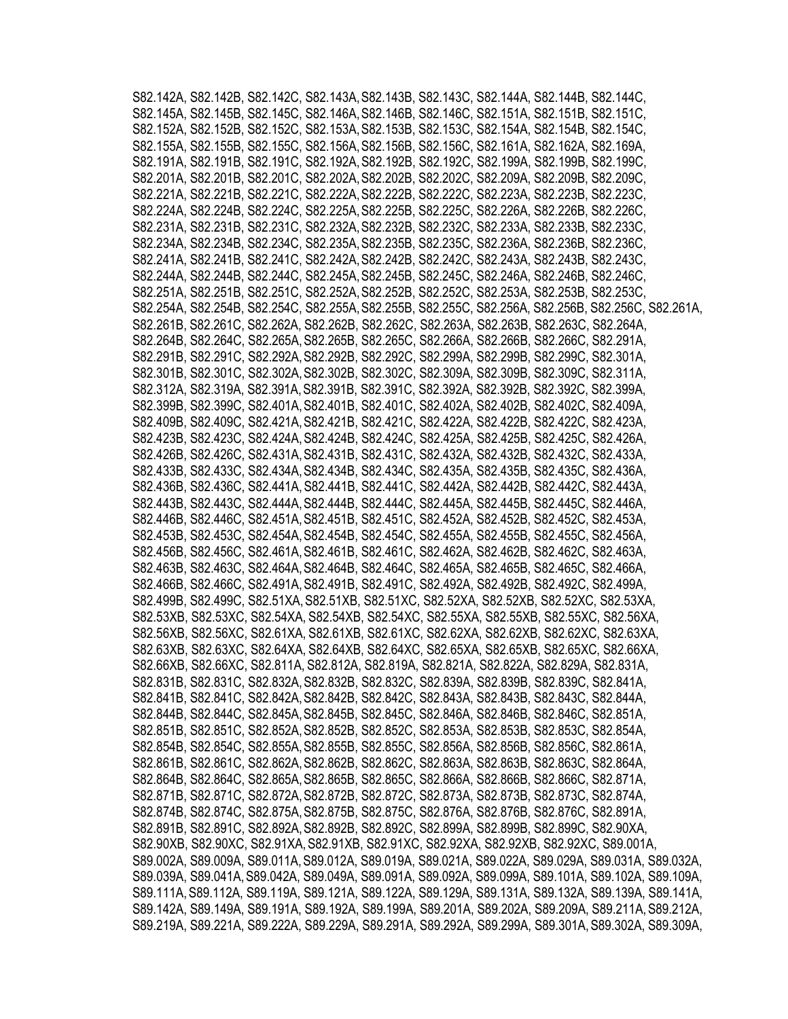S82.142A, S82.142B, S82.142C, S82.143A,S82.143B, S82.143C, S82.144A, S82.144B, S82.144C, S82.145A, S82.145B, S82.145C, S82.146A,S82.146B, S82.146C, S82.151A, S82.151B, S82.151C, S82.152A, S82.152B, S82.152C, S82.153A,S82.153B, S82.153C, S82.154A, S82.154B, S82.154C, S82.155A, S82.155B, S82.155C, S82.156A,S82.156B, S82.156C, S82.161A, S82.162A, S82.169A, S82.191A, S82.191B, S82.191C, S82.192A,S82.192B, S82.192C, S82.199A, S82.199B, S82.199C, S82.201A, S82.201B, S82.201C, S82.202A,S82.202B, S82.202C, S82.209A, S82.209B, S82.209C, S82.221A, S82.221B, S82.221C, S82.222A,S82.222B, S82.222C, S82.223A, S82.223B, S82.223C, S82.224A, S82.224B, S82.224C, S82.225A,S82.225B, S82.225C, S82.226A, S82.226B, S82.226C, S82.231A, S82.231B, S82.231C, S82.232A,S82.232B, S82.232C, S82.233A, S82.233B, S82.233C, S82.234A, S82.234B, S82.234C, S82.235A,S82.235B, S82.235C, S82.236A, S82.236B, S82.236C, S82.241A, S82.241B, S82.241C, S82.242A,S82.242B, S82.242C, S82.243A, S82.243B, S82.243C, S82.244A, S82.244B, S82.244C, S82.245A,S82.245B, S82.245C, S82.246A, S82.246B, S82.246C, S82.251A, S82.251B, S82.251C, S82.252A,S82.252B, S82.252C, S82.253A, S82.253B, S82.253C, S82.254A, S82.254B, S82.254C, S82.255A,S82.255B, S82.255C, S82.256A, S82.256B, S82.256C, S82.261A, S82.261B, S82.261C, S82.262A, S82.262B, S82.262C, S82.263A, S82.263B, S82.263C, S82.264A, S82.264B, S82.264C, S82.265A,S82.265B, S82.265C, S82.266A, S82.266B, S82.266C, S82.291A, S82.291B, S82.291C, S82.292A,S82.292B, S82.292C, S82.299A, S82.299B, S82.299C, S82.301A, S82.301B, S82.301C, S82.302A,S82.302B, S82.302C, S82.309A, S82.309B, S82.309C, S82.311A, S82.312A, S82.319A, S82.391A, S82.391B, S82.391C, S82.392A, S82.392B, S82.392C, S82.399A, S82.399B, S82.399C, S82.401A,S82.401B, S82.401C, S82.402A, S82.402B, S82.402C, S82.409A, S82.409B, S82.409C, S82.421A,S82.421B, S82.421C, S82.422A, S82.422B, S82.422C, S82.423A, S82.423B, S82.423C, S82.424A,S82.424B, S82.424C, S82.425A, S82.425B, S82.425C, S82.426A, S82.426B, S82.426C, S82.431A,S82.431B, S82.431C, S82.432A, S82.432B, S82.432C, S82.433A, S82.433B, S82.433C, S82.434A,S82.434B, S82.434C, S82.435A, S82.435B, S82.435C, S82.436A, S82.436B, S82.436C, S82.441A,S82.441B, S82.441C, S82.442A, S82.442B, S82.442C, S82.443A, S82.443B, S82.443C, S82.444A,S82.444B, S82.444C, S82.445A, S82.445B, S82.445C, S82.446A, S82.446B, S82.446C, S82.451A,S82.451B, S82.451C, S82.452A, S82.452B, S82.452C, S82.453A, S82.453B, S82.453C, S82.454A,S82.454B, S82.454C, S82.455A, S82.455B, S82.455C, S82.456A, S82.456B, S82.456C, S82.461A,S82.461B, S82.461C, S82.462A, S82.462B, S82.462C, S82.463A, S82.463B, S82.463C, S82.464A,S82.464B, S82.464C, S82.465A, S82.465B, S82.465C, S82.466A, S82.466B, S82.466C, S82.491A,S82.491B, S82.491C, S82.492A, S82.492B, S82.492C, S82.499A, S82.499B, S82.499C, S82.51XA,S82.51XB, S82.51XC, S82.52XA, S82.52XB, S82.52XC, S82.53XA, S82.53XB, S82.53XC, S82.54XA, S82.54XB, S82.54XC, S82.55XA, S82.55XB, S82.55XC, S82.56XA, S82.56XB, S82.56XC, S82.61XA, S82.61XB, S82.61XC, S82.62XA, S82.62XB, S82.62XC, S82.63XA, S82.63XB, S82.63XC, S82.64XA, S82.64XB, S82.64XC, S82.65XA, S82.65XB, S82.65XC, S82.66XA, S82.66XB, S82.66XC, S82.811A, S82.812A, S82.819A, S82.821A, S82.822A, S82.829A, S82.831A, S82.831B, S82.831C, S82.832A,S82.832B, S82.832C, S82.839A, S82.839B, S82.839C, S82.841A, S82.841B, S82.841C, S82.842A,S82.842B, S82.842C, S82.843A, S82.843B, S82.843C, S82.844A, S82.844B, S82.844C, S82.845A,S82.845B, S82.845C, S82.846A, S82.846B, S82.846C, S82.851A, S82.851B, S82.851C, S82.852A,S82.852B, S82.852C, S82.853A, S82.853B, S82.853C, S82.854A, S82.854B, S82.854C, S82.855A,S82.855B, S82.855C, S82.856A, S82.856B, S82.856C, S82.861A, S82.861B, S82.861C, S82.862A,S82.862B, S82.862C, S82.863A, S82.863B, S82.863C, S82.864A, S82.864B, S82.864C, S82.865A,S82.865B, S82.865C, S82.866A, S82.866B, S82.866C, S82.871A, S82.871B, S82.871C, S82.872A,S82.872B, S82.872C, S82.873A, S82.873B, S82.873C, S82.874A, S82.874B, S82.874C, S82.875A,S82.875B, S82.875C, S82.876A, S82.876B, S82.876C, S82.891A, S82.891B, S82.891C, S82.892A,S82.892B, S82.892C, S82.899A, S82.899B, S82.899C, S82.90XA, S82.90XB, S82.90XC, S82.91XA,S82.91XB, S82.91XC, S82.92XA, S82.92XB, S82.92XC, S89.001A, S89.002A, S89.009A, S89.011A,S89.012A, S89.019A, S89.021A, S89.022A, S89.029A, S89.031A, S89.032A, S89.039A, S89.041A,S89.042A, S89.049A, S89.091A, S89.092A, S89.099A, S89.101A, S89.102A, S89.109A, S89.111A, S89.112A, S89.119A, S89.121A, S89.122A, S89.129A, S89.131A, S89.132A, S89.139A, S89.141A, S89.142A, S89.149A, S89.191A, S89.192A, S89.199A, S89.201A, S89.202A, S89.209A, S89.211A,S89.212A, S89.219A, S89.221A, S89.222A, S89.229A, S89.291A, S89.292A, S89.299A, S89.301A, S89.302A, S89.309A,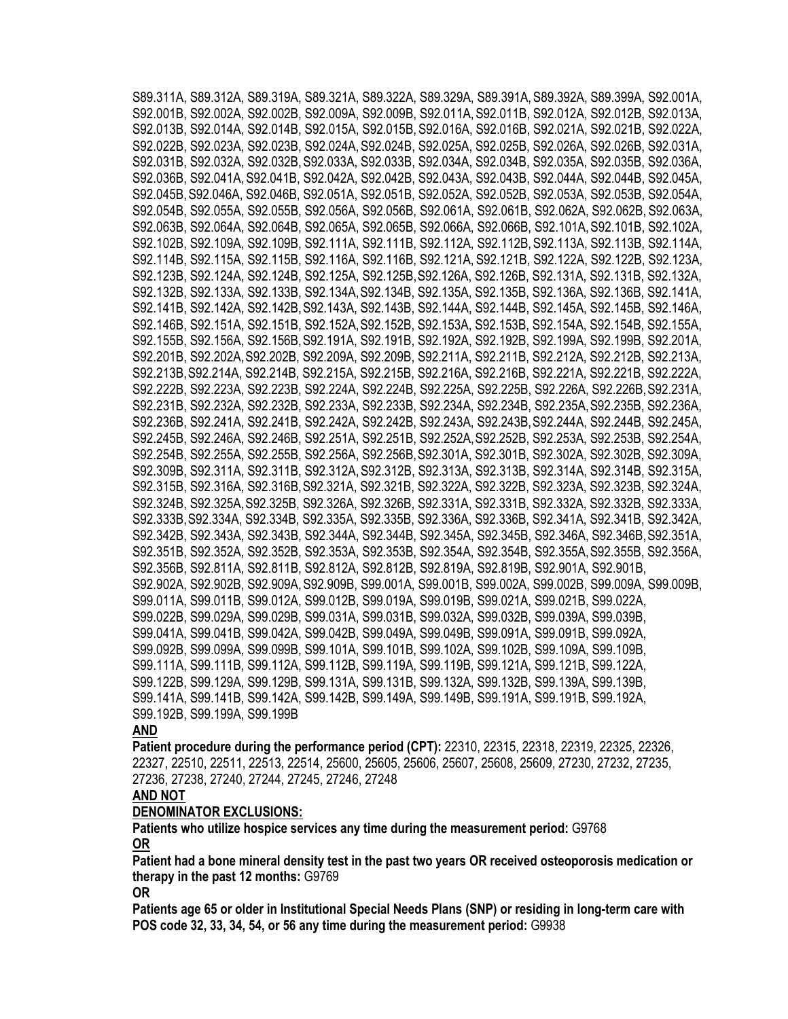S89.311A, S89.312A, S89.319A, S89.321A, S89.322A, S89.329A, S89.391A,S89.392A, S89.399A, S92.001A, S92.001B, S92.002A, S92.002B, S92.009A, S92.009B, S92.011A,S92.011B, S92.012A, S92.012B, S92.013A, S92.013B, S92.014A, S92.014B, S92.015A, S92.015B,S92.016A, S92.016B, S92.021A, S92.021B, S92.022A, S92.022B, S92.023A, S92.023B, S92.024A,S92.024B, S92.025A, S92.025B, S92.026A, S92.026B, S92.031A, S92.031B, S92.032A, S92.032B,S92.033A, S92.033B, S92.034A, S92.034B, S92.035A, S92.035B, S92.036A, S92.036B, S92.041A,S92.041B, S92.042A, S92.042B, S92.043A, S92.043B, S92.044A, S92.044B, S92.045A, S92.045B,S92.046A, S92.046B, S92.051A, S92.051B, S92.052A, S92.052B, S92.053A, S92.053B, S92.054A, S92.054B, S92.055A, S92.055B, S92.056A, S92.056B, S92.061A, S92.061B, S92.062A, S92.062B, S92.063A, S92.063B, S92.064A, S92.064B, S92.065A, S92.065B, S92.066A, S92.066B, S92.101A,S92.101B, S92.102A, S92.102B, S92.109A, S92.109B, S92.111A, S92.111B, S92.112A, S92.112B,S92.113A, S92.113B, S92.114A, S92.114B, S92.115A, S92.115B, S92.116A, S92.116B, S92.121A, S92.121B, S92.122A, S92.122B, S92.123A, S92.123B, S92.124A, S92.124B, S92.125A, S92.125B,S92.126A, S92.126B, S92.131A, S92.131B, S92.132A, S92.132B, S92.133A, S92.133B, S92.134A,S92.134B, S92.135A, S92.135B, S92.136A, S92.136B, S92.141A, S92.141B, S92.142A, S92.142B,S92.143A, S92.143B, S92.144A, S92.144B, S92.145A, S92.145B, S92.146A, S92.146B, S92.151A, S92.151B, S92.152A,S92.152B, S92.153A, S92.153B, S92.154A, S92.154B, S92.155A, S92.155B, S92.156A, S92.156B,S92.191A, S92.191B, S92.192A, S92.192B, S92.199A, S92.199B, S92.201A, S92.201B, S92.202A,S92.202B, S92.209A, S92.209B, S92.211A, S92.211B, S92.212A, S92.212B, S92.213A, S92.213B,S92.214A, S92.214B, S92.215A, S92.215B, S92.216A, S92.216B, S92.221A, S92.221B, S92.222A, S92.222B, S92.223A, S92.223B, S92.224A, S92.224B, S92.225A, S92.225B, S92.226A, S92.226B,S92.231A, S92.231B, S92.232A, S92.232B, S92.233A, S92.233B, S92.234A, S92.234B, S92.235A,S92.235B, S92.236A, S92.236B, S92.241A, S92.241B, S92.242A, S92.242B, S92.243A, S92.243B,S92.244A, S92.244B, S92.245A, S92.245B, S92.246A, S92.246B, S92.251A, S92.251B, S92.252A,S92.252B, S92.253A, S92.253B, S92.254A, S92.254B, S92.255A, S92.255B, S92.256A, S92.256B,S92.301A, S92.301B, S92.302A, S92.302B, S92.309A, S92.309B, S92.311A, S92.311B, S92.312A,S92.312B, S92.313A, S92.313B, S92.314A, S92.314B, S92.315A, S92.315B, S92.316A, S92.316B,S92.321A, S92.321B, S92.322A, S92.322B, S92.323A, S92.323B, S92.324A, S92.324B, S92.325A,S92.325B, S92.326A, S92.326B, S92.331A, S92.331B, S92.332A, S92.332B, S92.333A, S92.333B,S92.334A, S92.334B, S92.335A, S92.335B, S92.336A, S92.336B, S92.341A, S92.341B, S92.342A, S92.342B, S92.343A, S92.343B, S92.344A, S92.344B, S92.345A, S92.345B, S92.346A, S92.346B,S92.351A, S92.351B, S92.352A, S92.352B, S92.353A, S92.353B, S92.354A, S92.354B, S92.355A,S92.355B, S92.356A, S92.356B, S92.811A, S92.811B, S92.812A, S92.812B, S92.819A, S92.819B, S92.901A, S92.901B, S92.902A, S92.902B, S92.909A,S92.909B, S99.001A, S99.001B, S99.002A, S99.002B, S99.009A, S99.009B, S99.011A, S99.011B, S99.012A, S99.012B, S99.019A, S99.019B, S99.021A, S99.021B, S99.022A, S99.022B, S99.029A, S99.029B, S99.031A, S99.031B, S99.032A, S99.032B, S99.039A, S99.039B, S99.041A, S99.041B, S99.042A, S99.042B, S99.049A, S99.049B, S99.091A, S99.091B, S99.092A, S99.092B, S99.099A, S99.099B, S99.101A, S99.101B, S99.102A, S99.102B, S99.109A, S99.109B, S99.111A, S99.111B, S99.112A, S99.112B, S99.119A, S99.119B, S99.121A, S99.121B, S99.122A, S99.122B, S99.129A, S99.129B, S99.131A, S99.131B, S99.132A, S99.132B, S99.139A, S99.139B, S99.141A, S99.141B, S99.142A, S99.142B, S99.149A, S99.149B, S99.191A, S99.191B, S99.192A, S99.192B, S99.199A, S99.199B

#### **AND**

**Patient procedure during the performance period (CPT):** 22310, 22315, 22318, 22319, 22325, 22326, 22327, 22510, 22511, 22513, 22514, 25600, 25605, 25606, 25607, 25608, 25609, 27230, 27232, 27235, 27236, 27238, 27240, 27244, 27245, 27246, 27248

# **AND NOT**

#### **DENOMINATOR EXCLUSIONS:**

**Patients who utilize hospice services any time during the measurement period:** G9768 **OR**

**Patient had a bone mineral density test in the past two years OR received osteoporosis medication or therapy in the past 12 months:** G9769

**OR**

**Patients age 65 or older in Institutional Special Needs Plans (SNP) or residing in long-term care with POS code 32, 33, 34, 54, or 56 any time during the measurement period:** G9938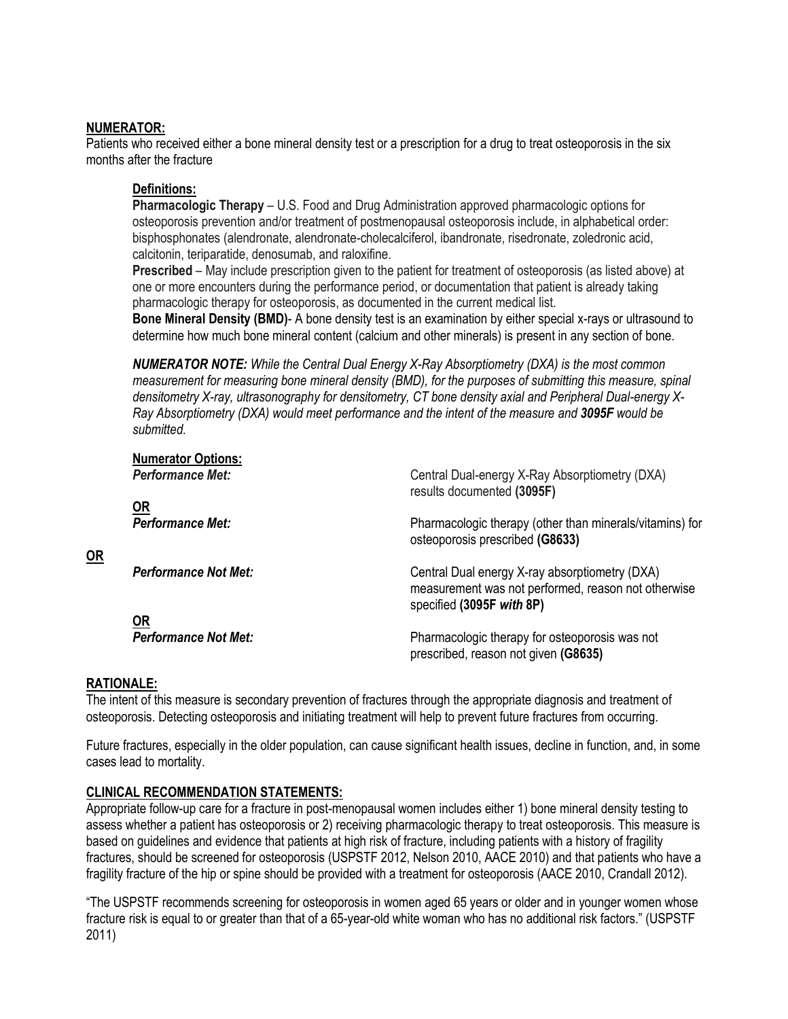### **NUMERATOR:**

Patients who received either a bone mineral density test or a prescription for a drug to treat osteoporosis in the six months after the fracture

#### **Definitions:**

**Pharmacologic Therapy** – U.S. Food and Drug Administration approved pharmacologic options for osteoporosis prevention and/or treatment of postmenopausal osteoporosis include, in alphabetical order: bisphosphonates (alendronate, alendronate-cholecalciferol, ibandronate, risedronate, zoledronic acid, calcitonin, teriparatide, denosumab, and raloxifine.

**Prescribed** – May include prescription given to the patient for treatment of osteoporosis (as listed above) at one or more encounters during the performance period, or documentation that patient is already taking pharmacologic therapy for osteoporosis, as documented in the current medical list.

**Bone Mineral Density (BMD)**- A bone density test is an examination by either special x-rays or ultrasound to determine how much bone mineral content (calcium and other minerals) is present in any section of bone.

*NUMERATOR NOTE: While the Central Dual Energy X-Ray Absorptiometry (DXA) is the most common measurement for measuring bone mineral density (BMD), for the purposes of submitting this measure, spinal densitometry X-ray, ultrasonography for densitometry, CT bone density axial and Peripheral Dual-energy X-Ray Absorptiometry (DXA) would meet performance and the intent of the measure and 3095F would be submitted.*

| <b>Numerator Options:</b>   | Central Dual-energy X-Ray Absorptiometry (DXA)                                                                                     |
|-----------------------------|------------------------------------------------------------------------------------------------------------------------------------|
| <b>Performance Met:</b>     | results documented (3095F)                                                                                                         |
| <u>OR</u>                   | Pharmacologic therapy (other than minerals/vitamins) for                                                                           |
| <b>Performance Met:</b>     | osteoporosis prescribed (G8633)                                                                                                    |
| <b>Performance Not Met:</b> | Central Dual energy X-ray absorptiometry (DXA)<br>measurement was not performed, reason not otherwise<br>specified (3095F with 8P) |
| <b>OR</b>                   | Pharmacologic therapy for osteoporosis was not                                                                                     |
| <b>Performance Not Met:</b> | prescribed, reason not given (G8635)                                                                                               |

## **RATIONALE:**

**OR**

The intent of this measure is secondary prevention of fractures through the appropriate diagnosis and treatment of osteoporosis. Detecting osteoporosis and initiating treatment will help to prevent future fractures from occurring.

Future fractures, especially in the older population, can cause significant health issues, decline in function, and, in some cases lead to mortality.

## **CLINICAL RECOMMENDATION STATEMENTS:**

Appropriate follow-up care for a fracture in post-menopausal women includes either 1) bone mineral density testing to assess whether a patient has osteoporosis or 2) receiving pharmacologic therapy to treat osteoporosis. This measure is based on guidelines and evidence that patients at high risk of fracture, including patients with a history of fragility fractures, should be screened for osteoporosis (USPSTF 2012, Nelson 2010, AACE 2010) and that patients who have a fragility fracture of the hip or spine should be provided with a treatment for osteoporosis (AACE 2010, Crandall 2012).

"The USPSTF recommends screening for osteoporosis in women aged 65 years or older and in younger women whose fracture risk is equal to or greater than that of a 65-year-old white woman who has no additional risk factors." (USPSTF 2011)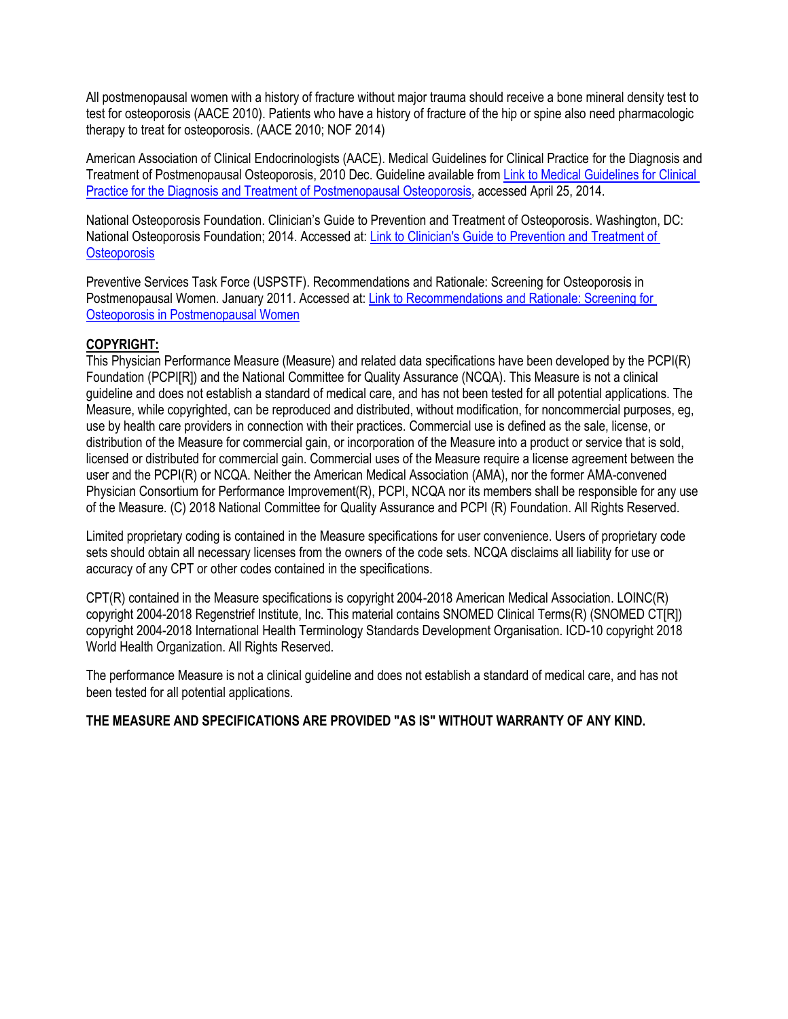All postmenopausal women with a history of fracture without major trauma should receive a bone mineral density test to test for osteoporosis (AACE 2010). Patients who have a history of fracture of the hip or spine also need pharmacologic therapy to treat for osteoporosis. (AACE 2010; NOF 2014)

American Association of Clinical Endocrinologists (AACE). Medical Guidelines for Clinical Practice for the Diagnosis and Treatment of Postmenopausal Osteoporosis, 2010 Dec. Guideline available from [Link to Medical Guidelines for Clinical](https://www.aace.com/files/osteo-guidelines-2010.pdf)  [Practice for the Diagnosis and Treatment of Postmenopausal Osteoporosis,](https://www.aace.com/files/osteo-guidelines-2010.pdf) accessed April 25, 2014.

National Osteoporosis Foundation. Clinician's Guide to Prevention and Treatment of Osteoporosis. Washington, DC: National Osteoporosis Foundation; 2014. Accessed at[: Link to Clinician's Guide to Prevention and Treatment of](http://nof.org/hcp/clinicians-guide)  **[Osteoporosis](http://nof.org/hcp/clinicians-guide)** 

Preventive Services Task Force (USPSTF). Recommendations and Rationale: Screening for Osteoporosis in Postmenopausal Women. January 2011. Accessed at[: Link to Recommendations and Rationale: Screening for](http://www.ahrq.gov/clinic/3rduspstf/osteoporosis/osteorr.html)  [Osteoporosis in Postmenopausal Women](http://www.ahrq.gov/clinic/3rduspstf/osteoporosis/osteorr.html)

## **COPYRIGHT:**

This Physician Performance Measure (Measure) and related data specifications have been developed by the PCPI(R) Foundation (PCPI[R]) and the National Committee for Quality Assurance (NCQA). This Measure is not a clinical guideline and does not establish a standard of medical care, and has not been tested for all potential applications. The Measure, while copyrighted, can be reproduced and distributed, without modification, for noncommercial purposes, eg, use by health care providers in connection with their practices. Commercial use is defined as the sale, license, or distribution of the Measure for commercial gain, or incorporation of the Measure into a product or service that is sold, licensed or distributed for commercial gain. Commercial uses of the Measure require a license agreement between the user and the PCPI(R) or NCQA. Neither the American Medical Association (AMA), nor the former AMA-convened Physician Consortium for Performance Improvement(R), PCPI, NCQA nor its members shall be responsible for any use of the Measure. (C) 2018 National Committee for Quality Assurance and PCPI (R) Foundation. All Rights Reserved.

Limited proprietary coding is contained in the Measure specifications for user convenience. Users of proprietary code sets should obtain all necessary licenses from the owners of the code sets. NCQA disclaims all liability for use or accuracy of any CPT or other codes contained in the specifications.

CPT(R) contained in the Measure specifications is copyright 2004-2018 American Medical Association. LOINC(R) copyright 2004-2018 Regenstrief Institute, Inc. This material contains SNOMED Clinical Terms(R) (SNOMED CT[R]) copyright 2004-2018 International Health Terminology Standards Development Organisation. ICD-10 copyright 2018 World Health Organization. All Rights Reserved.

The performance Measure is not a clinical guideline and does not establish a standard of medical care, and has not been tested for all potential applications.

## **THE MEASURE AND SPECIFICATIONS ARE PROVIDED "AS IS" WITHOUT WARRANTY OF ANY KIND.**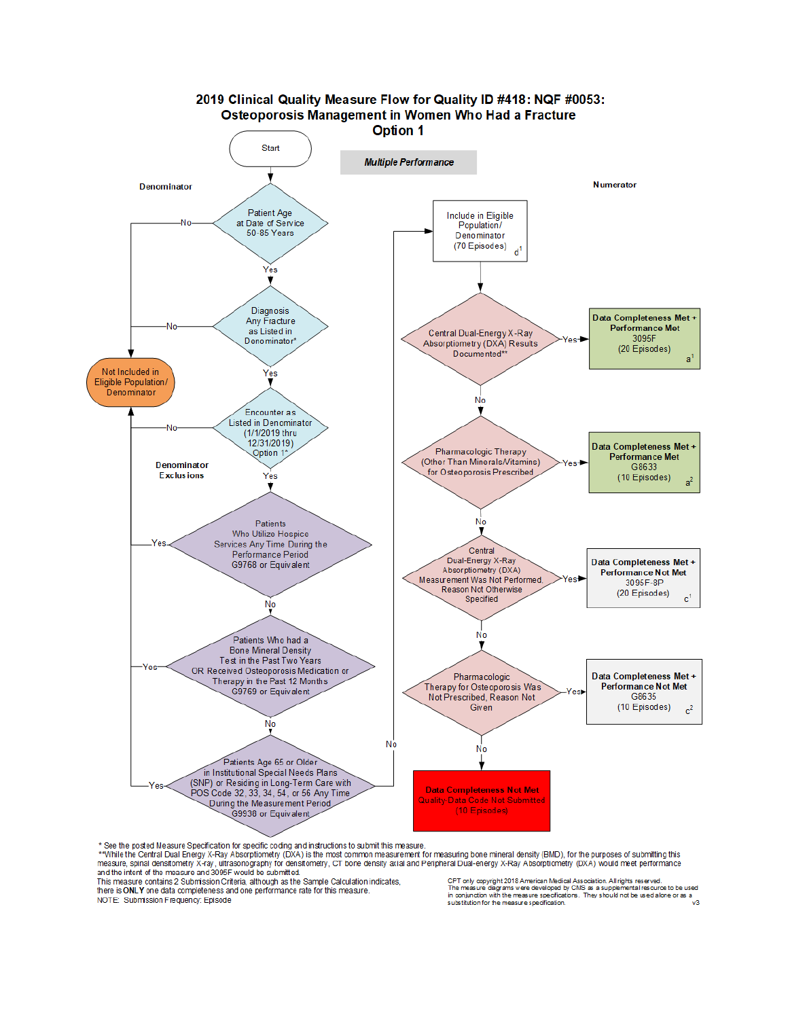

\* See the posted Measure Specification for specific coding and instructions to submit this measure

we we possed we say a book of the most common measurement for measuring bone mineral density (BMD), for the purposes of submitting this<br>measure, spinal densitometry X-ray, ultrasonography for densitometry, CT bone density and the intent of the measure and 3095F would be submitted.

This measure contains 2 Submission Criteria, although as the Sample Calculation indicates, there is ONLY one data completeness and one performance rate for this measure.

NOTE: Submission Frequency: Episode

CPT only copyright 2018 American Medical Association. All rights reserved.<br>The measure diagrams were developed by CMS as a supplemental resource to be used<br>in conjunction with the measure specifications. They should not b substitution for the measure specification.  $\sqrt{3}$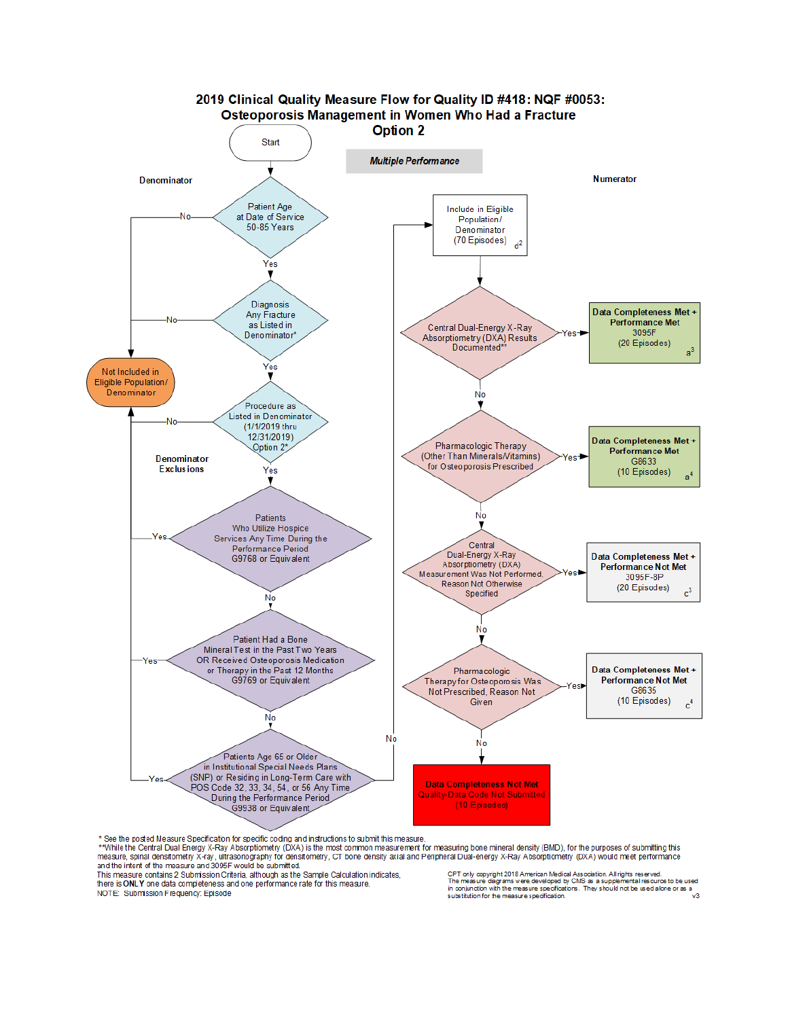

\* See the posted Measure Specification for specific coding and instructions to submit this measure.

\*\*While the Central Dual Energy X-Ray Absorptiometry (DXA) is the most common measurement for measuring bone mineral density (BMD), for the purposes of submitting this measure spinal densitometry X-ray Absorptiometry (DXA) and the intent of the measure and 3095F would be submitted.

This measure contains 2 Submission Criteria, although as the Sample Calculation indicates, there is ONLY one data completeness and one performance rate for this measure. NOTE: Submission Frequency: Episode

CPT only copyright 2018 American Medical Association. All rights reserved.<br>The measure diagrams were developed by CMS as a supplemental resource to be use<br>in conjunction with the measure specifications. They should not be ental resource to be used substitution for the measure specification. v3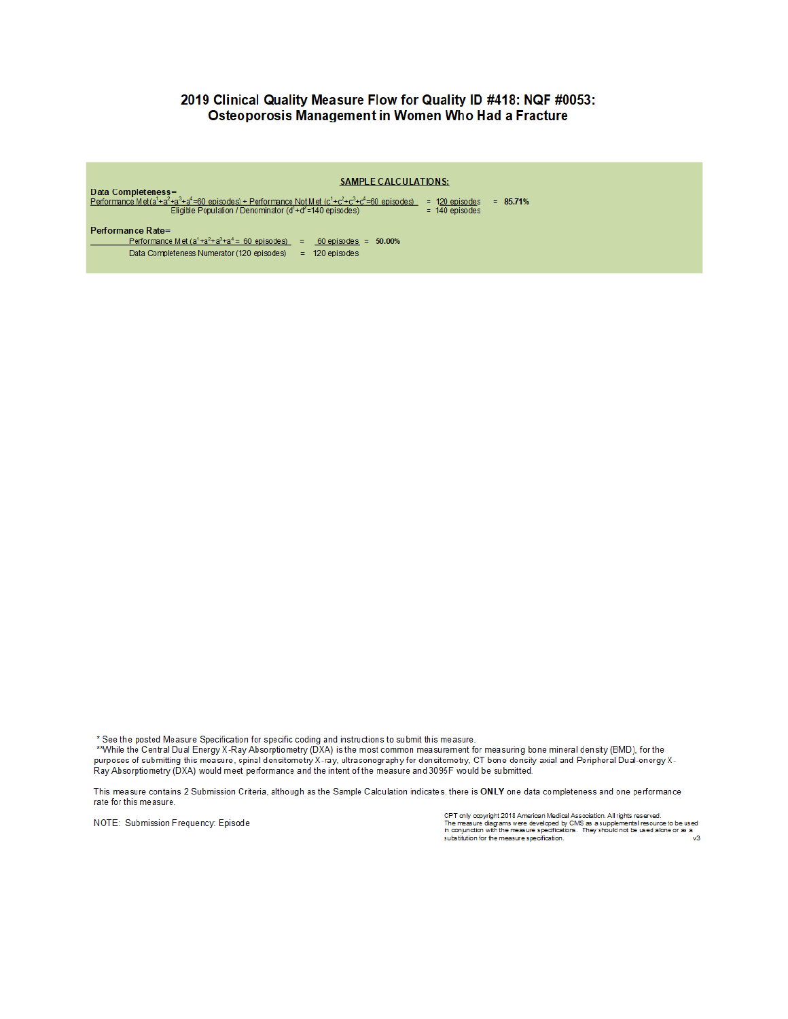#### 2019 Clinical Quality Measure Flow for Quality ID #418: NQF #0053: Osteoporosis Management in Women Who Had a Fracture

| Data Completeness=<br>Performance Met( $a^1 + a^2 + a^3 + a^4 = 60$ episodes) + Performance Not Met ( $c^1 + c^2 + c^3 + c^4 = 60$ episodes)<br>Eligible Population / Denominator $(d1+d2=140$ episodes) | <b>SAMPLE CALCULATIONS:</b><br>$= 120$ episodes<br>$= 85.71%$<br>$= 140$ episodes |
|----------------------------------------------------------------------------------------------------------------------------------------------------------------------------------------------------------|-----------------------------------------------------------------------------------|
| Performance Rate=                                                                                                                                                                                        |                                                                                   |
| Performance Met $(a1+a2+a3+a4 = 60$ episodes)                                                                                                                                                            | $60$ episodes = $50.00\%$<br>$=$                                                  |
| Data Completeness Numerator (120 episodes)                                                                                                                                                               | 120 episodes<br>$=$                                                               |

\* See the posted Measure Specification for specific coding and instructions to submit this measure.

\*\*While the Central Dual Energy X-Ray Absorptiometry (DXA) is the most common measurement for measuring bone mineral density (BMD), for the purposes of submitting this measure, spinal densitometry X-ray, ultrasonography for densitometry, CT bone density axial and Peripheral Dual-energy X-Ray Absorptiometry (DXA) would meet performance and the intent of the measure and 3095F would be submitted.

This measure contains 2 Submission Criteria, although as the Sample Calculation indicates, there is ONLY one data completeness and one performance rate for this measure.

NOTE: Submission Frequency: Episode

CPT only copyright 2018 American Medical Association. All rights reserved.<br>The measure diagrams were developed by CMS as a supplemental resource to be used<br>in conjunction with the measure specifications. They should not be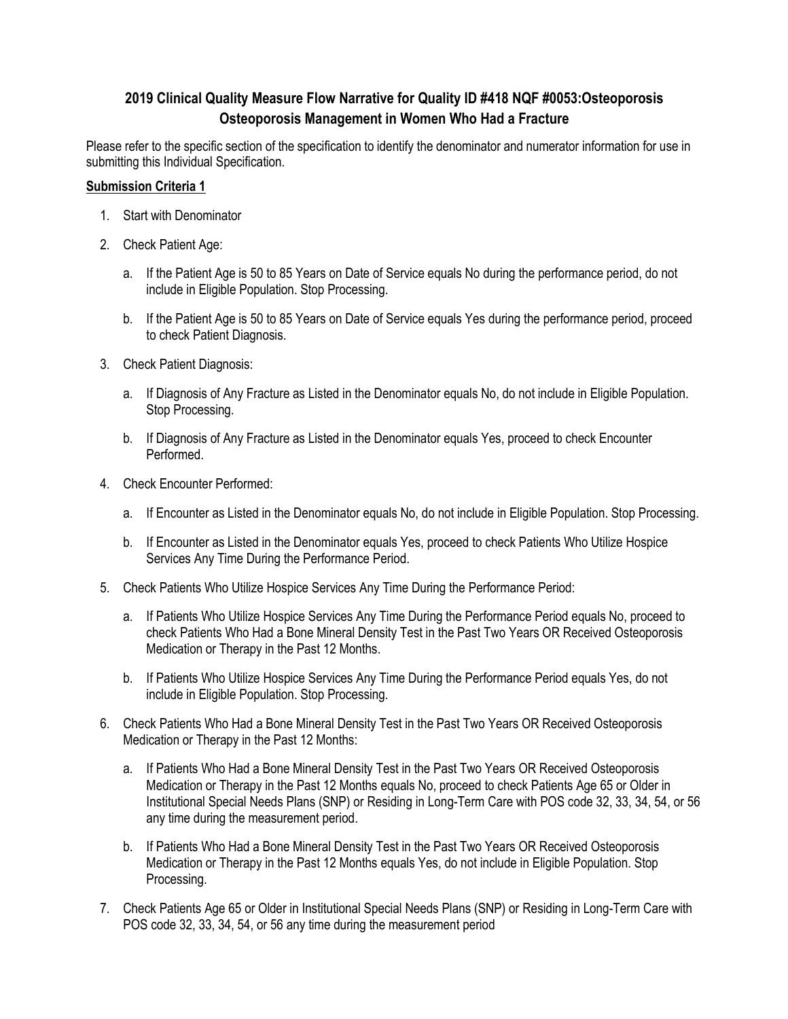# **2019 Clinical Quality Measure Flow Narrative for Quality ID #418 NQF #0053:Osteoporosis Osteoporosis Management in Women Who Had a Fracture**

Please refer to the specific section of the specification to identify the denominator and numerator information for use in submitting this Individual Specification.

#### **Submission Criteria 1**

- 1. Start with Denominator
- 2. Check Patient Age:
	- a. If the Patient Age is 50 to 85 Years on Date of Service equals No during the performance period, do not include in Eligible Population. Stop Processing.
	- b. If the Patient Age is 50 to 85 Years on Date of Service equals Yes during the performance period, proceed to check Patient Diagnosis.
- 3. Check Patient Diagnosis:
	- a. If Diagnosis of Any Fracture as Listed in the Denominator equals No, do not include in Eligible Population. Stop Processing.
	- b. If Diagnosis of Any Fracture as Listed in the Denominator equals Yes, proceed to check Encounter Performed.
- 4. Check Encounter Performed:
	- a. If Encounter as Listed in the Denominator equals No, do not include in Eligible Population. Stop Processing.
	- b. If Encounter as Listed in the Denominator equals Yes, proceed to check Patients Who Utilize Hospice Services Any Time During the Performance Period.
- 5. Check Patients Who Utilize Hospice Services Any Time During the Performance Period:
	- a. If Patients Who Utilize Hospice Services Any Time During the Performance Period equals No, proceed to check Patients Who Had a Bone Mineral Density Test in the Past Two Years OR Received Osteoporosis Medication or Therapy in the Past 12 Months.
	- b. If Patients Who Utilize Hospice Services Any Time During the Performance Period equals Yes, do not include in Eligible Population. Stop Processing.
- 6. Check Patients Who Had a Bone Mineral Density Test in the Past Two Years OR Received Osteoporosis Medication or Therapy in the Past 12 Months:
	- a. If Patients Who Had a Bone Mineral Density Test in the Past Two Years OR Received Osteoporosis Medication or Therapy in the Past 12 Months equals No, proceed to check Patients Age 65 or Older in Institutional Special Needs Plans (SNP) or Residing in Long-Term Care with POS code 32, 33, 34, 54, or 56 any time during the measurement period.
	- b. If Patients Who Had a Bone Mineral Density Test in the Past Two Years OR Received Osteoporosis Medication or Therapy in the Past 12 Months equals Yes, do not include in Eligible Population. Stop Processing.
- 7. Check Patients Age 65 or Older in Institutional Special Needs Plans (SNP) or Residing in Long-Term Care with POS code 32, 33, 34, 54, or 56 any time during the measurement period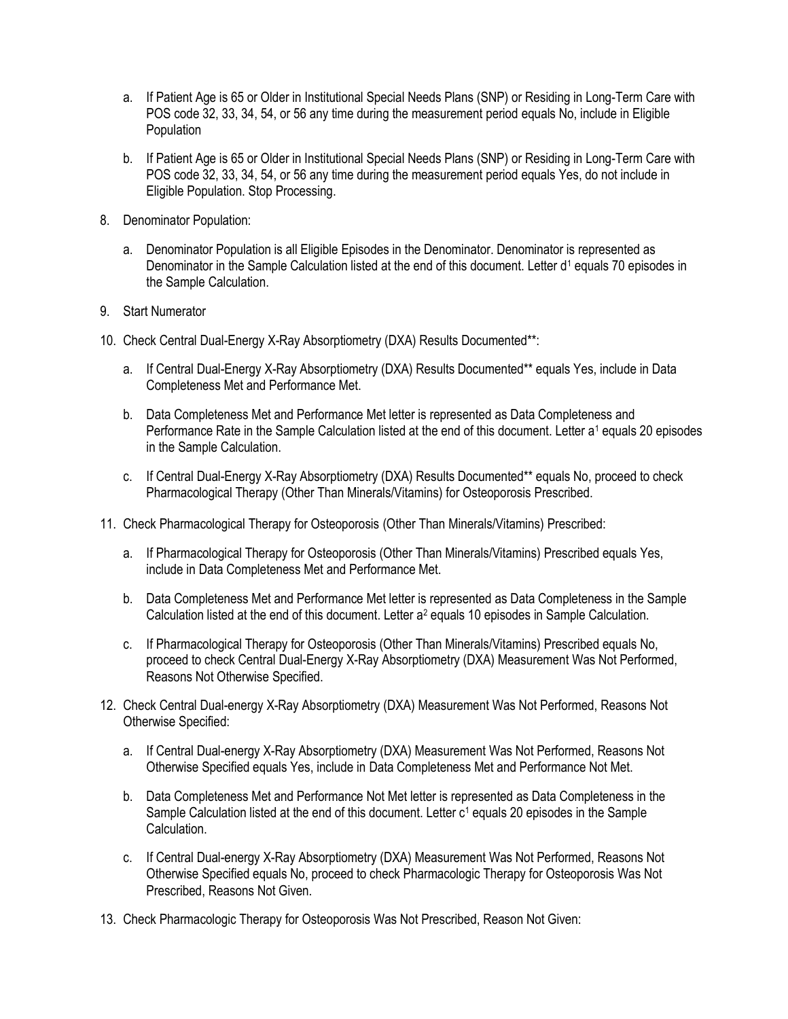- a. If Patient Age is 65 or Older in Institutional Special Needs Plans (SNP) or Residing in Long-Term Care with POS code 32, 33, 34, 54, or 56 any time during the measurement period equals No, include in Eligible Population
- b. If Patient Age is 65 or Older in Institutional Special Needs Plans (SNP) or Residing in Long-Term Care with POS code 32, 33, 34, 54, or 56 any time during the measurement period equals Yes, do not include in Eligible Population. Stop Processing.
- 8. Denominator Population:
	- a. Denominator Population is all Eligible Episodes in the Denominator. Denominator is represented as Denominator in the Sample Calculation listed at the end of this document. Letter d<sup>1</sup> equals 70 episodes in the Sample Calculation.
- 9. Start Numerator
- 10. Check Central Dual-Energy X-Ray Absorptiometry (DXA) Results Documented\*\*:
	- a. If Central Dual-Energy X-Ray Absorptiometry (DXA) Results Documented\*\* equals Yes, include in Data Completeness Met and Performance Met.
	- b. Data Completeness Met and Performance Met letter is represented as Data Completeness and Performance Rate in the Sample Calculation listed at the end of this document. Letter a<sup>1</sup> equals 20 episodes in the Sample Calculation.
	- c. If Central Dual-Energy X-Ray Absorptiometry (DXA) Results Documented\*\* equals No, proceed to check Pharmacological Therapy (Other Than Minerals/Vitamins) for Osteoporosis Prescribed.
- 11. Check Pharmacological Therapy for Osteoporosis (Other Than Minerals/Vitamins) Prescribed:
	- a. If Pharmacological Therapy for Osteoporosis (Other Than Minerals/Vitamins) Prescribed equals Yes, include in Data Completeness Met and Performance Met.
	- b. Data Completeness Met and Performance Met letter is represented as Data Completeness in the Sample Calculation listed at the end of this document. Letter a<sup>2</sup> equals 10 episodes in Sample Calculation.
	- c. If Pharmacological Therapy for Osteoporosis (Other Than Minerals/Vitamins) Prescribed equals No, proceed to check Central Dual-Energy X-Ray Absorptiometry (DXA) Measurement Was Not Performed, Reasons Not Otherwise Specified.
- 12. Check Central Dual-energy X-Ray Absorptiometry (DXA) Measurement Was Not Performed, Reasons Not Otherwise Specified:
	- a. If Central Dual-energy X-Ray Absorptiometry (DXA) Measurement Was Not Performed, Reasons Not Otherwise Specified equals Yes, include in Data Completeness Met and Performance Not Met.
	- b. Data Completeness Met and Performance Not Met letter is represented as Data Completeness in the Sample Calculation listed at the end of this document. Letter  $c<sup>1</sup>$  equals 20 episodes in the Sample Calculation.
	- c. If Central Dual-energy X-Ray Absorptiometry (DXA) Measurement Was Not Performed, Reasons Not Otherwise Specified equals No, proceed to check Pharmacologic Therapy for Osteoporosis Was Not Prescribed, Reasons Not Given.
- 13. Check Pharmacologic Therapy for Osteoporosis Was Not Prescribed, Reason Not Given: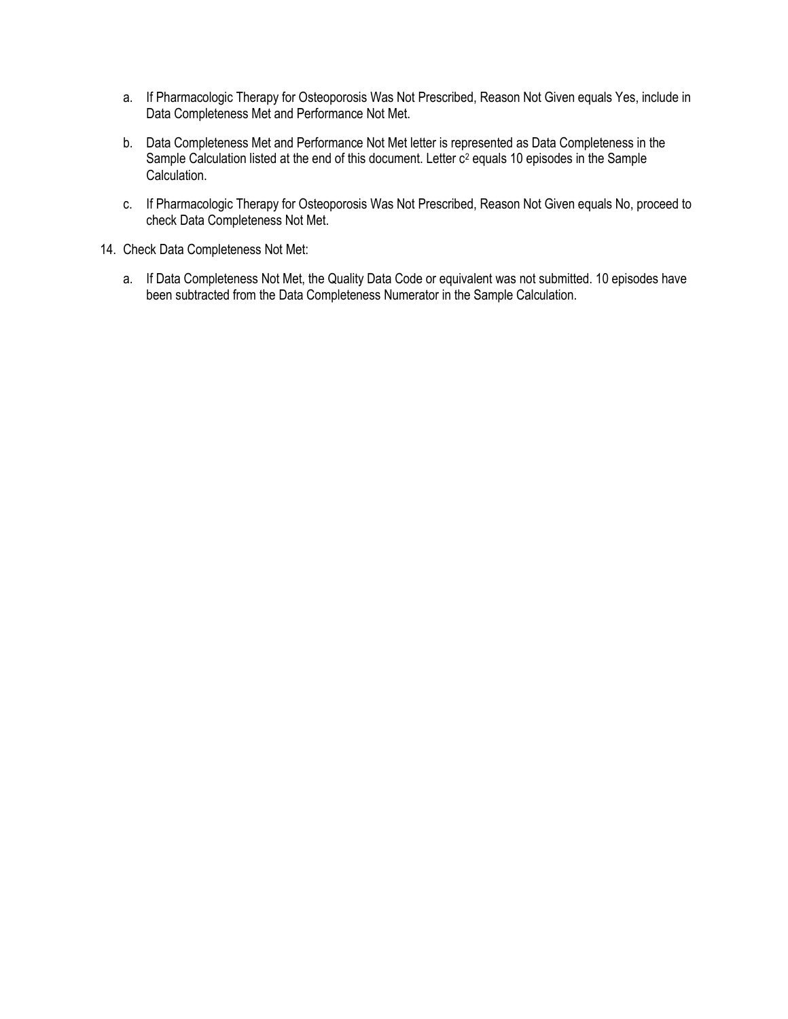- a. If Pharmacologic Therapy for Osteoporosis Was Not Prescribed, Reason Not Given equals Yes, include in Data Completeness Met and Performance Not Met.
- b. Data Completeness Met and Performance Not Met letter is represented as Data Completeness in the Sample Calculation listed at the end of this document. Letter c<sup>2</sup> equals 10 episodes in the Sample Calculation.
- c. If Pharmacologic Therapy for Osteoporosis Was Not Prescribed, Reason Not Given equals No, proceed to check Data Completeness Not Met.
- 14. Check Data Completeness Not Met:
	- a. If Data Completeness Not Met, the Quality Data Code or equivalent was not submitted. 10 episodes have been subtracted from the Data Completeness Numerator in the Sample Calculation.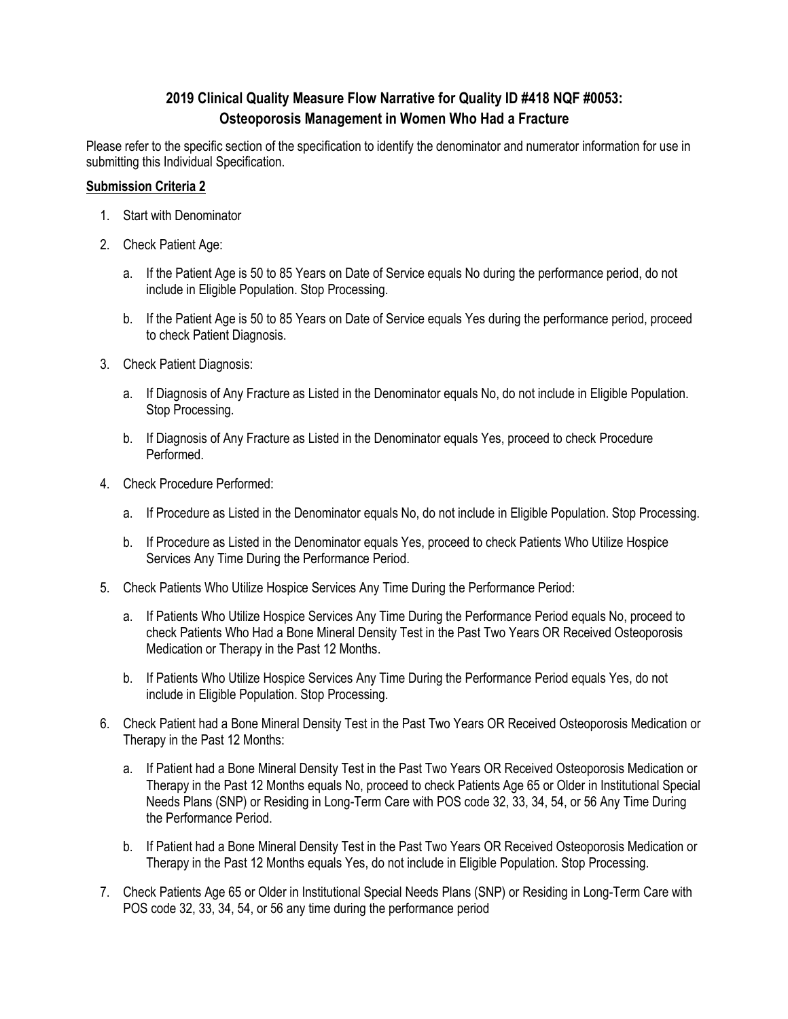# **2019 Clinical Quality Measure Flow Narrative for Quality ID #418 NQF #0053: Osteoporosis Management in Women Who Had a Fracture**

Please refer to the specific section of the specification to identify the denominator and numerator information for use in submitting this Individual Specification.

## **Submission Criteria 2**

- 1. Start with Denominator
- 2. Check Patient Age:
	- a. If the Patient Age is 50 to 85 Years on Date of Service equals No during the performance period, do not include in Eligible Population. Stop Processing.
	- b. If the Patient Age is 50 to 85 Years on Date of Service equals Yes during the performance period, proceed to check Patient Diagnosis.
- 3. Check Patient Diagnosis:
	- a. If Diagnosis of Any Fracture as Listed in the Denominator equals No, do not include in Eligible Population. Stop Processing.
	- b. If Diagnosis of Any Fracture as Listed in the Denominator equals Yes, proceed to check Procedure Performed.
- 4. Check Procedure Performed:
	- a. If Procedure as Listed in the Denominator equals No, do not include in Eligible Population. Stop Processing.
	- b. If Procedure as Listed in the Denominator equals Yes, proceed to check Patients Who Utilize Hospice Services Any Time During the Performance Period.
- 5. Check Patients Who Utilize Hospice Services Any Time During the Performance Period:
	- a. If Patients Who Utilize Hospice Services Any Time During the Performance Period equals No, proceed to check Patients Who Had a Bone Mineral Density Test in the Past Two Years OR Received Osteoporosis Medication or Therapy in the Past 12 Months.
	- b. If Patients Who Utilize Hospice Services Any Time During the Performance Period equals Yes, do not include in Eligible Population. Stop Processing.
- 6. Check Patient had a Bone Mineral Density Test in the Past Two Years OR Received Osteoporosis Medication or Therapy in the Past 12 Months:
	- a. If Patient had a Bone Mineral Density Test in the Past Two Years OR Received Osteoporosis Medication or Therapy in the Past 12 Months equals No, proceed to check Patients Age 65 or Older in Institutional Special Needs Plans (SNP) or Residing in Long-Term Care with POS code 32, 33, 34, 54, or 56 Any Time During the Performance Period.
	- b. If Patient had a Bone Mineral Density Test in the Past Two Years OR Received Osteoporosis Medication or Therapy in the Past 12 Months equals Yes, do not include in Eligible Population. Stop Processing.
- 7. Check Patients Age 65 or Older in Institutional Special Needs Plans (SNP) or Residing in Long-Term Care with POS code 32, 33, 34, 54, or 56 any time during the performance period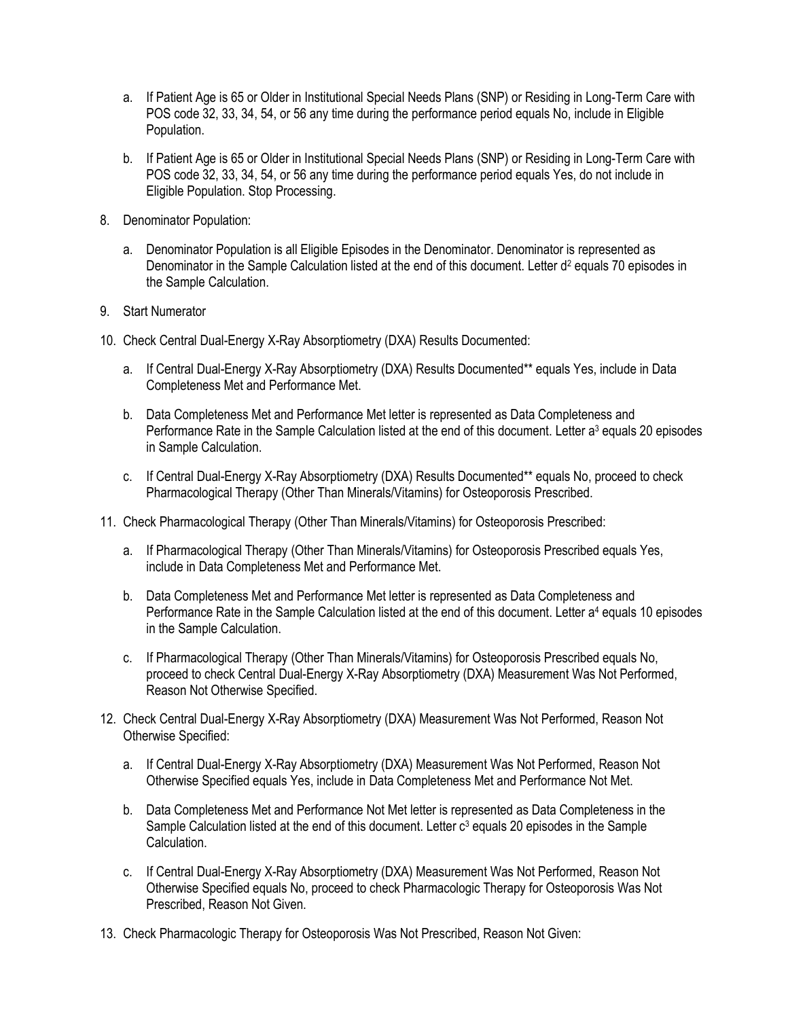- a. If Patient Age is 65 or Older in Institutional Special Needs Plans (SNP) or Residing in Long-Term Care with POS code 32, 33, 34, 54, or 56 any time during the performance period equals No, include in Eligible Population.
- b. If Patient Age is 65 or Older in Institutional Special Needs Plans (SNP) or Residing in Long-Term Care with POS code 32, 33, 34, 54, or 56 any time during the performance period equals Yes, do not include in Eligible Population. Stop Processing.
- 8. Denominator Population:
	- a. Denominator Population is all Eligible Episodes in the Denominator. Denominator is represented as Denominator in the Sample Calculation listed at the end of this document. Letter d<sup>2</sup> equals 70 episodes in the Sample Calculation.
- 9. Start Numerator
- 10. Check Central Dual-Energy X-Ray Absorptiometry (DXA) Results Documented:
	- a. If Central Dual-Energy X-Ray Absorptiometry (DXA) Results Documented\*\* equals Yes, include in Data Completeness Met and Performance Met.
	- b. Data Completeness Met and Performance Met letter is represented as Data Completeness and Performance Rate in the Sample Calculation listed at the end of this document. Letter a<sup>3</sup> equals 20 episodes in Sample Calculation.
	- c. If Central Dual-Energy X-Ray Absorptiometry (DXA) Results Documented\*\* equals No, proceed to check Pharmacological Therapy (Other Than Minerals/Vitamins) for Osteoporosis Prescribed.
- 11. Check Pharmacological Therapy (Other Than Minerals/Vitamins) for Osteoporosis Prescribed:
	- a. If Pharmacological Therapy (Other Than Minerals/Vitamins) for Osteoporosis Prescribed equals Yes, include in Data Completeness Met and Performance Met.
	- b. Data Completeness Met and Performance Met letter is represented as Data Completeness and Performance Rate in the Sample Calculation listed at the end of this document. Letter a<sup>4</sup> equals 10 episodes in the Sample Calculation.
	- c. If Pharmacological Therapy (Other Than Minerals/Vitamins) for Osteoporosis Prescribed equals No, proceed to check Central Dual-Energy X-Ray Absorptiometry (DXA) Measurement Was Not Performed, Reason Not Otherwise Specified.
- 12. Check Central Dual-Energy X-Ray Absorptiometry (DXA) Measurement Was Not Performed, Reason Not Otherwise Specified:
	- a. If Central Dual-Energy X-Ray Absorptiometry (DXA) Measurement Was Not Performed, Reason Not Otherwise Specified equals Yes, include in Data Completeness Met and Performance Not Met.
	- b. Data Completeness Met and Performance Not Met letter is represented as Data Completeness in the Sample Calculation listed at the end of this document. Letter  $c<sup>3</sup>$  equals 20 episodes in the Sample Calculation.
	- c. If Central Dual-Energy X-Ray Absorptiometry (DXA) Measurement Was Not Performed, Reason Not Otherwise Specified equals No, proceed to check Pharmacologic Therapy for Osteoporosis Was Not Prescribed, Reason Not Given.
- 13. Check Pharmacologic Therapy for Osteoporosis Was Not Prescribed, Reason Not Given: